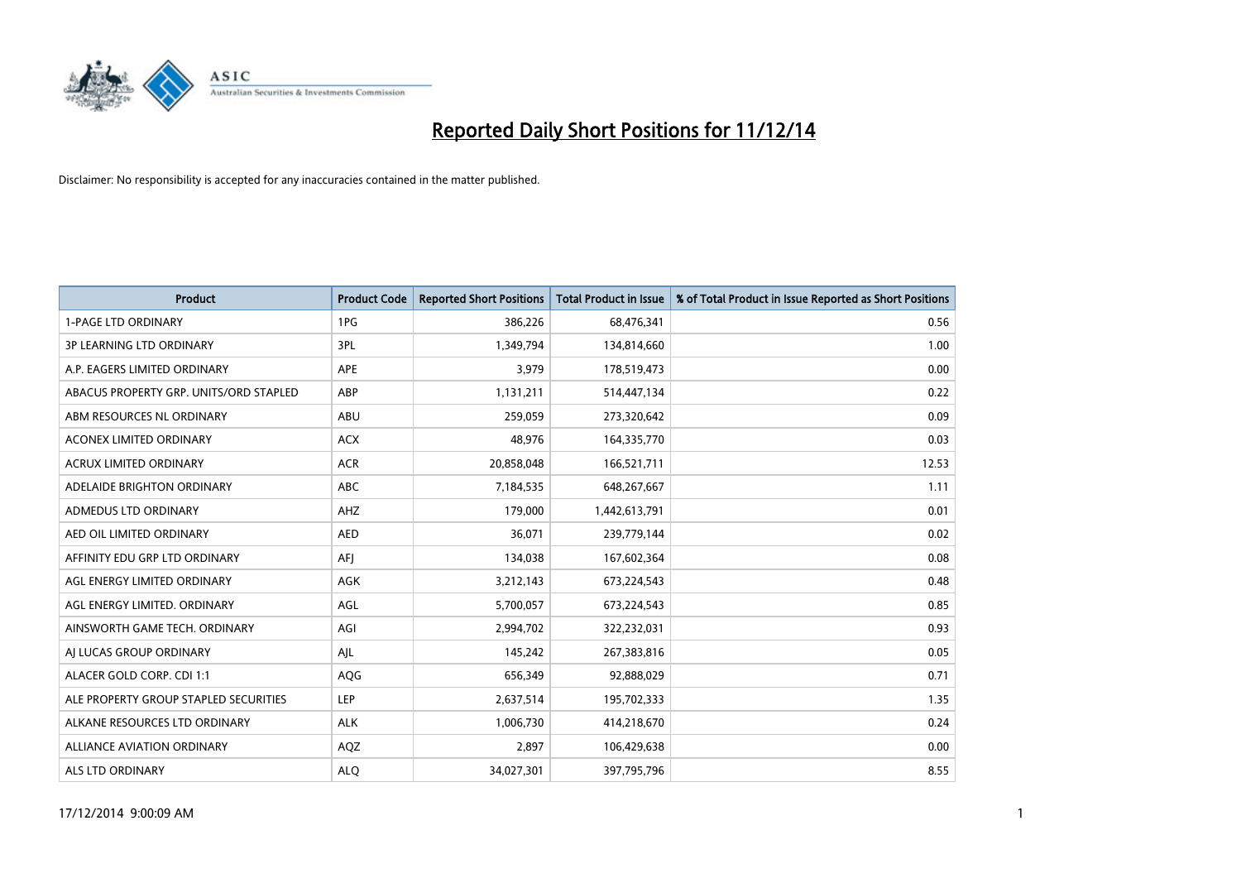

| <b>Product</b>                         | <b>Product Code</b> | <b>Reported Short Positions</b> | <b>Total Product in Issue</b> | % of Total Product in Issue Reported as Short Positions |
|----------------------------------------|---------------------|---------------------------------|-------------------------------|---------------------------------------------------------|
| <b>1-PAGE LTD ORDINARY</b>             | 1PG                 | 386,226                         | 68,476,341                    | 0.56                                                    |
| <b>3P LEARNING LTD ORDINARY</b>        | 3PL                 | 1,349,794                       | 134,814,660                   | 1.00                                                    |
| A.P. EAGERS LIMITED ORDINARY           | APE                 | 3,979                           | 178,519,473                   | 0.00                                                    |
| ABACUS PROPERTY GRP. UNITS/ORD STAPLED | ABP                 | 1,131,211                       | 514,447,134                   | 0.22                                                    |
| ABM RESOURCES NL ORDINARY              | ABU                 | 259,059                         | 273,320,642                   | 0.09                                                    |
| <b>ACONEX LIMITED ORDINARY</b>         | <b>ACX</b>          | 48,976                          | 164,335,770                   | 0.03                                                    |
| <b>ACRUX LIMITED ORDINARY</b>          | <b>ACR</b>          | 20,858,048                      | 166,521,711                   | 12.53                                                   |
| ADELAIDE BRIGHTON ORDINARY             | <b>ABC</b>          | 7,184,535                       | 648,267,667                   | 1.11                                                    |
| ADMEDUS LTD ORDINARY                   | AHZ                 | 179,000                         | 1,442,613,791                 | 0.01                                                    |
| AED OIL LIMITED ORDINARY               | <b>AED</b>          | 36,071                          | 239,779,144                   | 0.02                                                    |
| AFFINITY EDU GRP LTD ORDINARY          | AFJ                 | 134,038                         | 167,602,364                   | 0.08                                                    |
| AGL ENERGY LIMITED ORDINARY            | AGK                 | 3,212,143                       | 673,224,543                   | 0.48                                                    |
| AGL ENERGY LIMITED. ORDINARY           | AGL                 | 5,700,057                       | 673,224,543                   | 0.85                                                    |
| AINSWORTH GAME TECH. ORDINARY          | AGI                 | 2,994,702                       | 322,232,031                   | 0.93                                                    |
| AI LUCAS GROUP ORDINARY                | AJL                 | 145,242                         | 267,383,816                   | 0.05                                                    |
| ALACER GOLD CORP. CDI 1:1              | AQG                 | 656,349                         | 92,888,029                    | 0.71                                                    |
| ALE PROPERTY GROUP STAPLED SECURITIES  | LEP                 | 2,637,514                       | 195,702,333                   | 1.35                                                    |
| ALKANE RESOURCES LTD ORDINARY          | <b>ALK</b>          | 1,006,730                       | 414,218,670                   | 0.24                                                    |
| <b>ALLIANCE AVIATION ORDINARY</b>      | AQZ                 | 2,897                           | 106,429,638                   | 0.00                                                    |
| ALS LTD ORDINARY                       | <b>ALO</b>          | 34,027,301                      | 397,795,796                   | 8.55                                                    |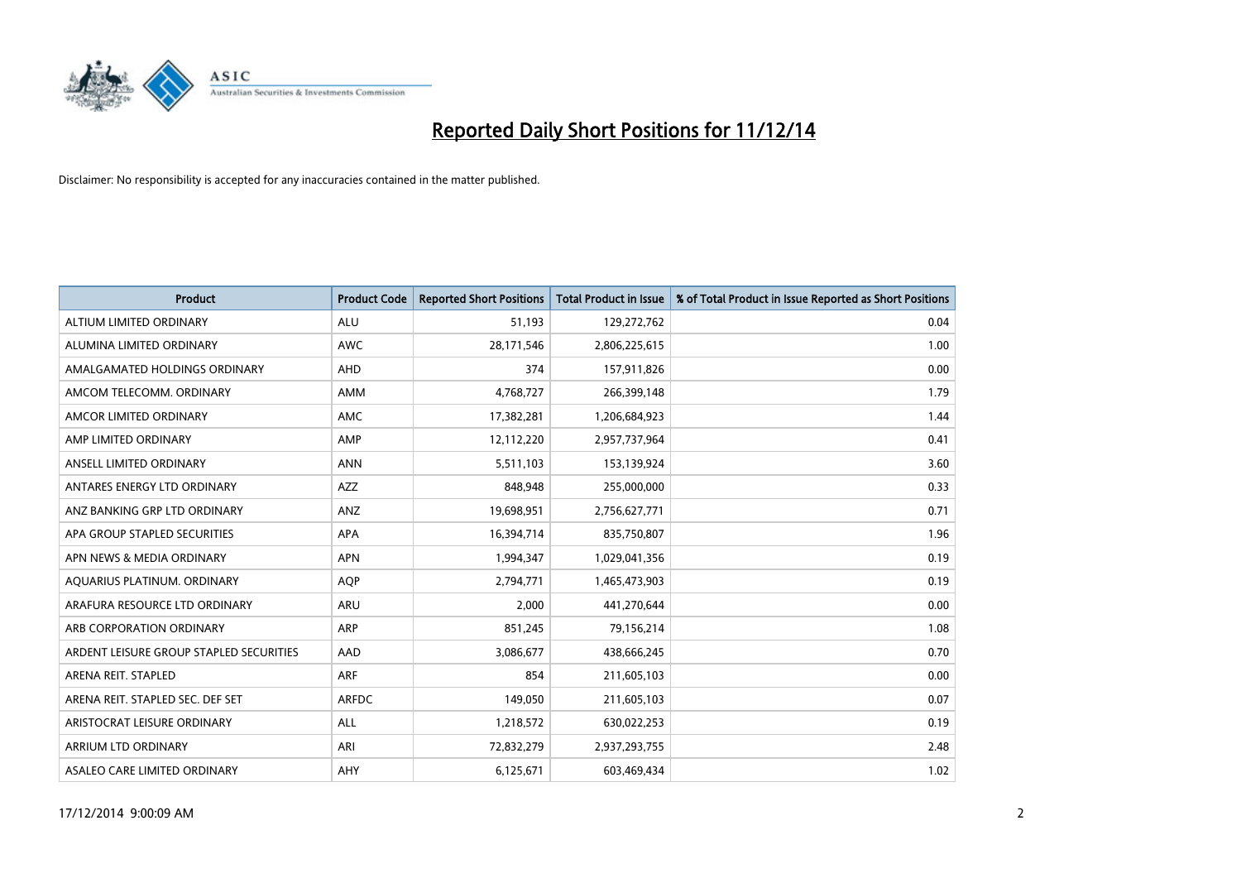

| <b>Product</b>                          | <b>Product Code</b> | <b>Reported Short Positions</b> | <b>Total Product in Issue</b> | % of Total Product in Issue Reported as Short Positions |
|-----------------------------------------|---------------------|---------------------------------|-------------------------------|---------------------------------------------------------|
| ALTIUM LIMITED ORDINARY                 | <b>ALU</b>          | 51,193                          | 129,272,762                   | 0.04                                                    |
| ALUMINA LIMITED ORDINARY                | <b>AWC</b>          | 28,171,546                      | 2,806,225,615                 | 1.00                                                    |
| AMALGAMATED HOLDINGS ORDINARY           | AHD                 | 374                             | 157,911,826                   | 0.00                                                    |
| AMCOM TELECOMM, ORDINARY                | AMM                 | 4,768,727                       | 266,399,148                   | 1.79                                                    |
| AMCOR LIMITED ORDINARY                  | AMC                 | 17,382,281                      | 1,206,684,923                 | 1.44                                                    |
| AMP LIMITED ORDINARY                    | AMP                 | 12,112,220                      | 2,957,737,964                 | 0.41                                                    |
| ANSELL LIMITED ORDINARY                 | <b>ANN</b>          | 5,511,103                       | 153,139,924                   | 3.60                                                    |
| ANTARES ENERGY LTD ORDINARY             | AZZ                 | 848,948                         | 255,000,000                   | 0.33                                                    |
| ANZ BANKING GRP LTD ORDINARY            | ANZ                 | 19,698,951                      | 2,756,627,771                 | 0.71                                                    |
| APA GROUP STAPLED SECURITIES            | <b>APA</b>          | 16,394,714                      | 835,750,807                   | 1.96                                                    |
| APN NEWS & MEDIA ORDINARY               | <b>APN</b>          | 1,994,347                       | 1,029,041,356                 | 0.19                                                    |
| AQUARIUS PLATINUM. ORDINARY             | <b>AOP</b>          | 2,794,771                       | 1,465,473,903                 | 0.19                                                    |
| ARAFURA RESOURCE LTD ORDINARY           | <b>ARU</b>          | 2,000                           | 441,270,644                   | 0.00                                                    |
| ARB CORPORATION ORDINARY                | ARP                 | 851,245                         | 79,156,214                    | 1.08                                                    |
| ARDENT LEISURE GROUP STAPLED SECURITIES | AAD                 | 3,086,677                       | 438,666,245                   | 0.70                                                    |
| ARENA REIT. STAPLED                     | <b>ARF</b>          | 854                             | 211,605,103                   | 0.00                                                    |
| ARENA REIT. STAPLED SEC. DEF SET        | <b>ARFDC</b>        | 149,050                         | 211,605,103                   | 0.07                                                    |
| ARISTOCRAT LEISURE ORDINARY             | ALL                 | 1,218,572                       | 630,022,253                   | 0.19                                                    |
| ARRIUM LTD ORDINARY                     | ARI                 | 72,832,279                      | 2,937,293,755                 | 2.48                                                    |
| ASALEO CARE LIMITED ORDINARY            | AHY                 | 6,125,671                       | 603,469,434                   | 1.02                                                    |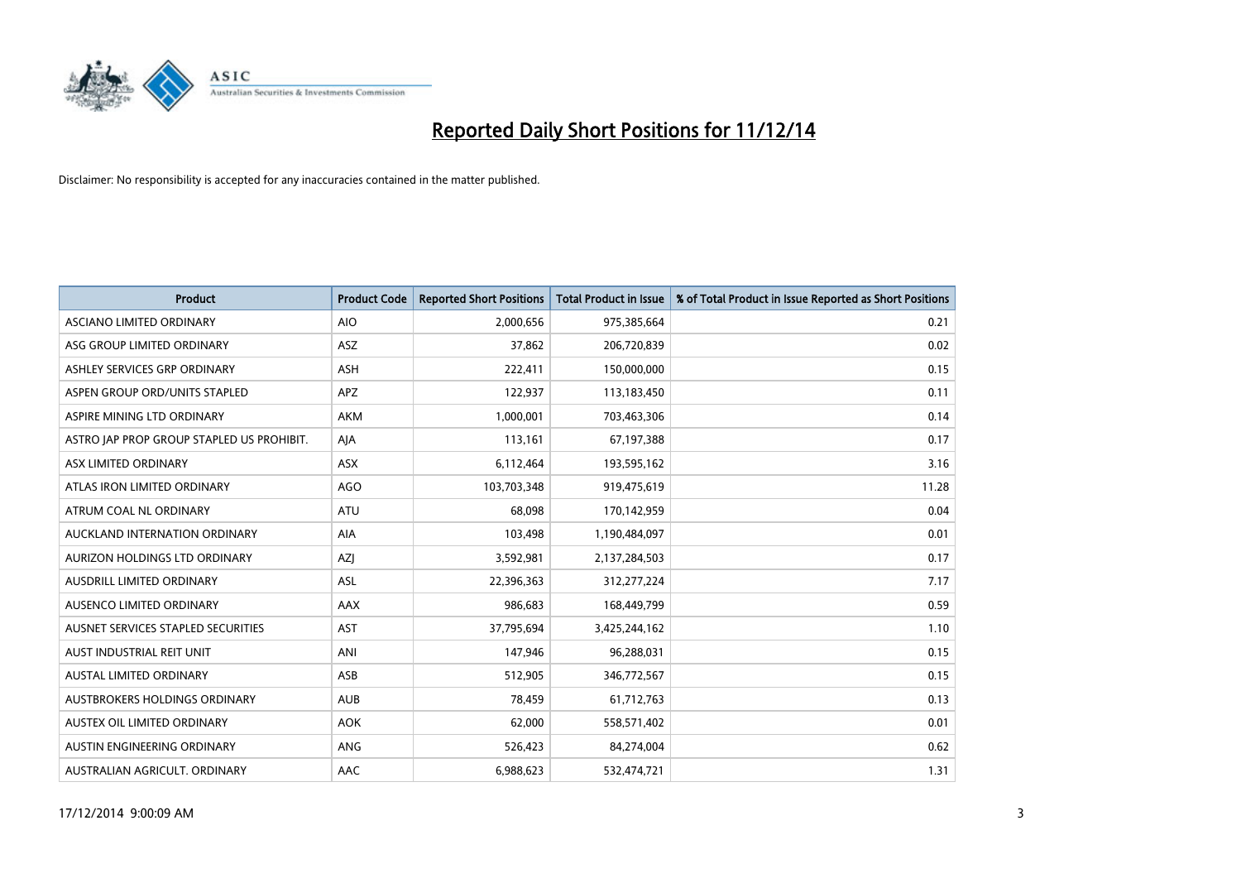

| <b>Product</b>                            | <b>Product Code</b> | <b>Reported Short Positions</b> | <b>Total Product in Issue</b> | % of Total Product in Issue Reported as Short Positions |
|-------------------------------------------|---------------------|---------------------------------|-------------------------------|---------------------------------------------------------|
| ASCIANO LIMITED ORDINARY                  | <b>AIO</b>          | 2,000,656                       | 975,385,664                   | 0.21                                                    |
| ASG GROUP LIMITED ORDINARY                | ASZ                 | 37,862                          | 206,720,839                   | 0.02                                                    |
| ASHLEY SERVICES GRP ORDINARY              | ASH                 | 222,411                         | 150,000,000                   | 0.15                                                    |
| ASPEN GROUP ORD/UNITS STAPLED             | <b>APZ</b>          | 122,937                         | 113,183,450                   | 0.11                                                    |
| ASPIRE MINING LTD ORDINARY                | <b>AKM</b>          | 1,000,001                       | 703,463,306                   | 0.14                                                    |
| ASTRO JAP PROP GROUP STAPLED US PROHIBIT. | AJA                 | 113,161                         | 67,197,388                    | 0.17                                                    |
| ASX LIMITED ORDINARY                      | ASX                 | 6,112,464                       | 193,595,162                   | 3.16                                                    |
| ATLAS IRON LIMITED ORDINARY               | <b>AGO</b>          | 103,703,348                     | 919,475,619                   | 11.28                                                   |
| ATRUM COAL NL ORDINARY                    | <b>ATU</b>          | 68.098                          | 170,142,959                   | 0.04                                                    |
| AUCKLAND INTERNATION ORDINARY             | <b>AIA</b>          | 103,498                         | 1,190,484,097                 | 0.01                                                    |
| AURIZON HOLDINGS LTD ORDINARY             | AZJ                 | 3,592,981                       | 2,137,284,503                 | 0.17                                                    |
| AUSDRILL LIMITED ORDINARY                 | ASL                 | 22,396,363                      | 312,277,224                   | 7.17                                                    |
| AUSENCO LIMITED ORDINARY                  | AAX                 | 986,683                         | 168,449,799                   | 0.59                                                    |
| AUSNET SERVICES STAPLED SECURITIES        | <b>AST</b>          | 37,795,694                      | 3,425,244,162                 | 1.10                                                    |
| AUST INDUSTRIAL REIT UNIT                 | ANI                 | 147,946                         | 96,288,031                    | 0.15                                                    |
| AUSTAL LIMITED ORDINARY                   | ASB                 | 512,905                         | 346,772,567                   | 0.15                                                    |
| AUSTBROKERS HOLDINGS ORDINARY             | <b>AUB</b>          | 78,459                          | 61,712,763                    | 0.13                                                    |
| AUSTEX OIL LIMITED ORDINARY               | <b>AOK</b>          | 62,000                          | 558,571,402                   | 0.01                                                    |
| AUSTIN ENGINEERING ORDINARY               | ANG                 | 526,423                         | 84,274,004                    | 0.62                                                    |
| AUSTRALIAN AGRICULT. ORDINARY             | AAC                 | 6,988,623                       | 532,474,721                   | 1.31                                                    |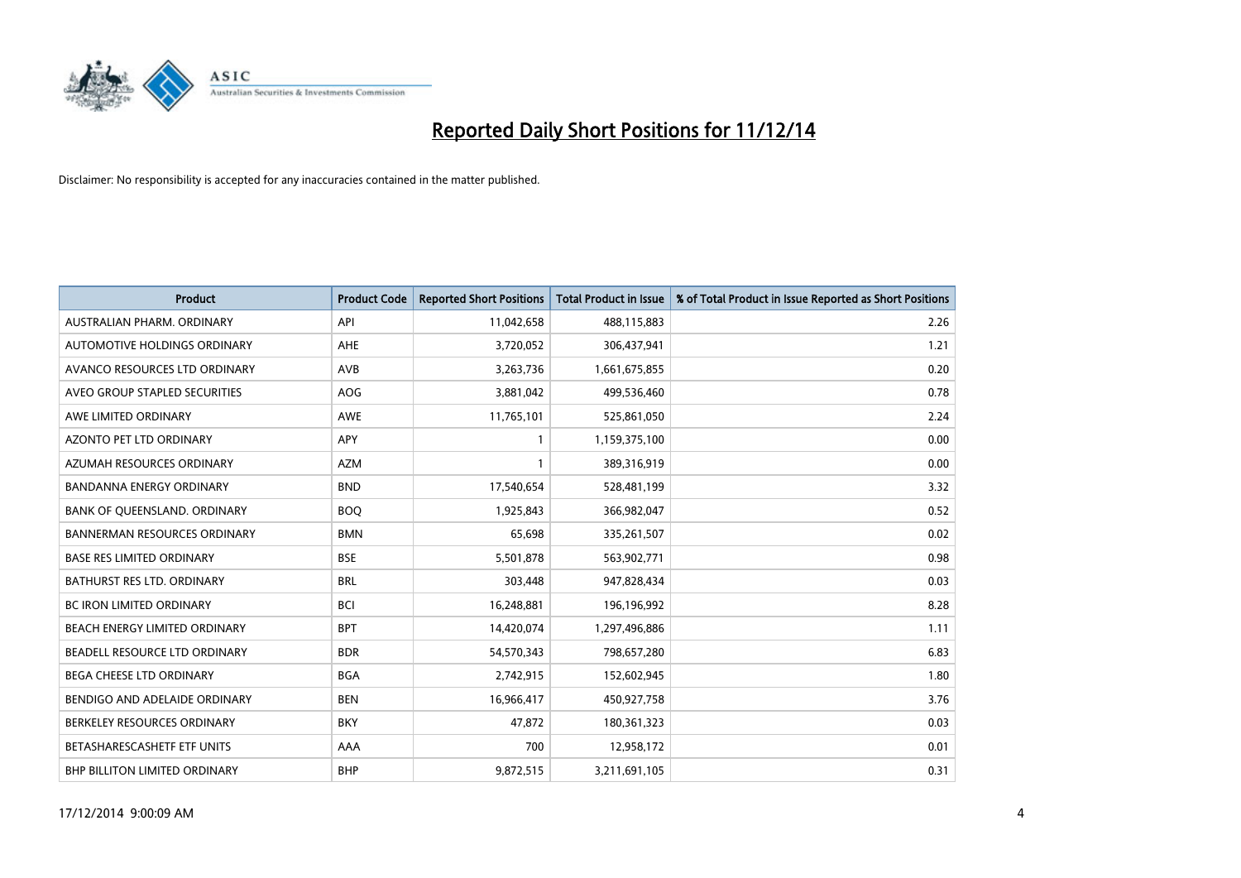

| <b>Product</b>                      | <b>Product Code</b> | <b>Reported Short Positions</b> | <b>Total Product in Issue</b> | % of Total Product in Issue Reported as Short Positions |
|-------------------------------------|---------------------|---------------------------------|-------------------------------|---------------------------------------------------------|
| AUSTRALIAN PHARM, ORDINARY          | API                 | 11,042,658                      | 488,115,883                   | 2.26                                                    |
| AUTOMOTIVE HOLDINGS ORDINARY        | AHE                 | 3,720,052                       | 306,437,941                   | 1.21                                                    |
| AVANCO RESOURCES LTD ORDINARY       | AVB                 | 3,263,736                       | 1,661,675,855                 | 0.20                                                    |
| AVEO GROUP STAPLED SECURITIES       | AOG                 | 3,881,042                       | 499,536,460                   | 0.78                                                    |
| AWE LIMITED ORDINARY                | <b>AWE</b>          | 11,765,101                      | 525,861,050                   | 2.24                                                    |
| <b>AZONTO PET LTD ORDINARY</b>      | <b>APY</b>          | $\mathbf{1}$                    | 1,159,375,100                 | 0.00                                                    |
| AZUMAH RESOURCES ORDINARY           | <b>AZM</b>          | $\mathbf{1}$                    | 389,316,919                   | 0.00                                                    |
| BANDANNA ENERGY ORDINARY            | <b>BND</b>          | 17,540,654                      | 528,481,199                   | 3.32                                                    |
| BANK OF QUEENSLAND. ORDINARY        | <b>BOQ</b>          | 1,925,843                       | 366,982,047                   | 0.52                                                    |
| <b>BANNERMAN RESOURCES ORDINARY</b> | <b>BMN</b>          | 65,698                          | 335,261,507                   | 0.02                                                    |
| <b>BASE RES LIMITED ORDINARY</b>    | <b>BSE</b>          | 5,501,878                       | 563,902,771                   | 0.98                                                    |
| BATHURST RES LTD. ORDINARY          | <b>BRL</b>          | 303,448                         | 947,828,434                   | 0.03                                                    |
| <b>BC IRON LIMITED ORDINARY</b>     | <b>BCI</b>          | 16,248,881                      | 196,196,992                   | 8.28                                                    |
| BEACH ENERGY LIMITED ORDINARY       | <b>BPT</b>          | 14,420,074                      | 1,297,496,886                 | 1.11                                                    |
| BEADELL RESOURCE LTD ORDINARY       | <b>BDR</b>          | 54,570,343                      | 798,657,280                   | 6.83                                                    |
| BEGA CHEESE LTD ORDINARY            | <b>BGA</b>          | 2,742,915                       | 152,602,945                   | 1.80                                                    |
| BENDIGO AND ADELAIDE ORDINARY       | <b>BEN</b>          | 16,966,417                      | 450,927,758                   | 3.76                                                    |
| BERKELEY RESOURCES ORDINARY         | <b>BKY</b>          | 47,872                          | 180,361,323                   | 0.03                                                    |
| BETASHARESCASHETF ETF UNITS         | AAA                 | 700                             | 12,958,172                    | 0.01                                                    |
| BHP BILLITON LIMITED ORDINARY       | <b>BHP</b>          | 9,872,515                       | 3,211,691,105                 | 0.31                                                    |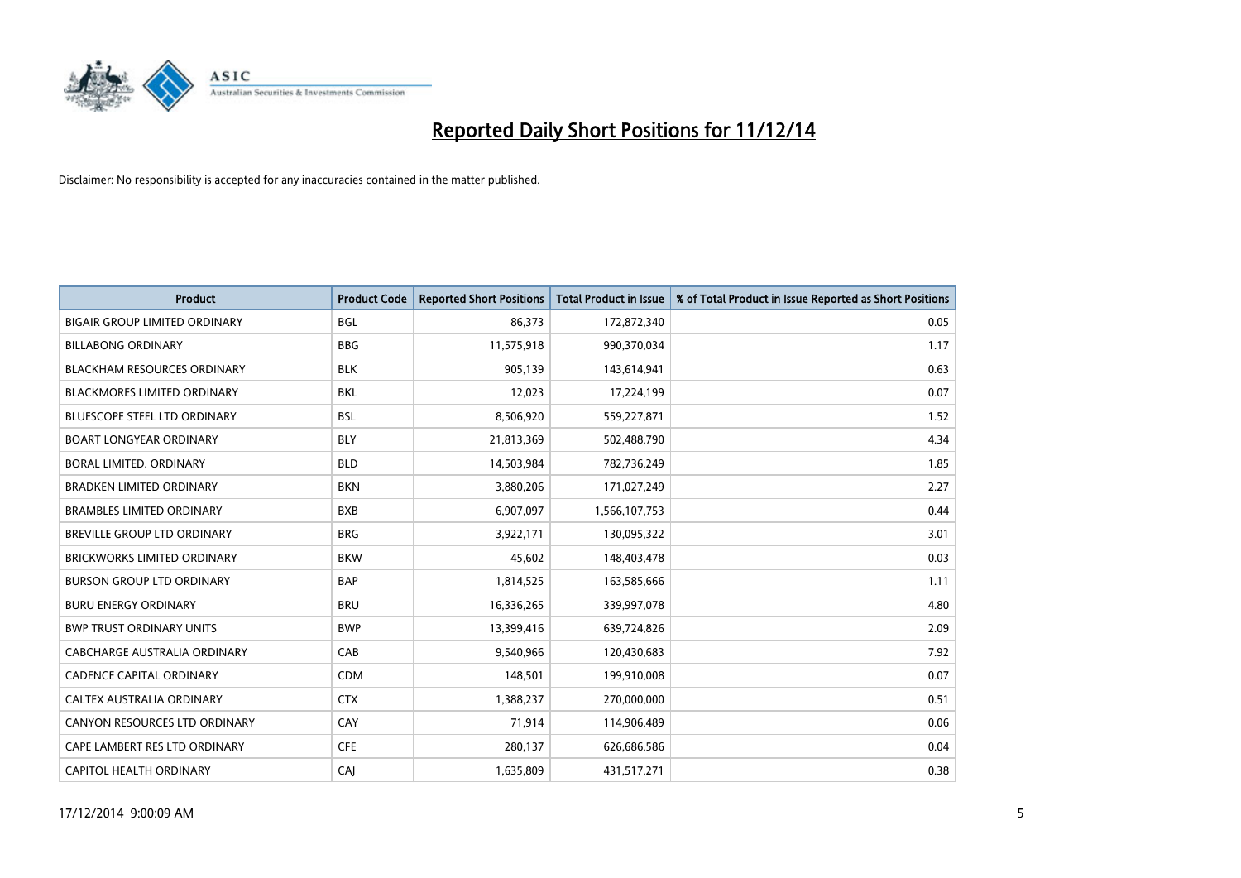

| <b>Product</b>                       | <b>Product Code</b> | <b>Reported Short Positions</b> | <b>Total Product in Issue</b> | % of Total Product in Issue Reported as Short Positions |
|--------------------------------------|---------------------|---------------------------------|-------------------------------|---------------------------------------------------------|
| <b>BIGAIR GROUP LIMITED ORDINARY</b> | <b>BGL</b>          | 86,373                          | 172,872,340                   | 0.05                                                    |
| <b>BILLABONG ORDINARY</b>            | <b>BBG</b>          | 11,575,918                      | 990,370,034                   | 1.17                                                    |
| <b>BLACKHAM RESOURCES ORDINARY</b>   | <b>BLK</b>          | 905,139                         | 143,614,941                   | 0.63                                                    |
| BLACKMORES LIMITED ORDINARY          | BKL                 | 12,023                          | 17,224,199                    | 0.07                                                    |
| <b>BLUESCOPE STEEL LTD ORDINARY</b>  | <b>BSL</b>          | 8,506,920                       | 559,227,871                   | 1.52                                                    |
| <b>BOART LONGYEAR ORDINARY</b>       | <b>BLY</b>          | 21,813,369                      | 502,488,790                   | 4.34                                                    |
| BORAL LIMITED, ORDINARY              | <b>BLD</b>          | 14,503,984                      | 782,736,249                   | 1.85                                                    |
| <b>BRADKEN LIMITED ORDINARY</b>      | <b>BKN</b>          | 3,880,206                       | 171,027,249                   | 2.27                                                    |
| <b>BRAMBLES LIMITED ORDINARY</b>     | <b>BXB</b>          | 6,907,097                       | 1,566,107,753                 | 0.44                                                    |
| <b>BREVILLE GROUP LTD ORDINARY</b>   | <b>BRG</b>          | 3,922,171                       | 130,095,322                   | 3.01                                                    |
| BRICKWORKS LIMITED ORDINARY          | <b>BKW</b>          | 45,602                          | 148,403,478                   | 0.03                                                    |
| <b>BURSON GROUP LTD ORDINARY</b>     | <b>BAP</b>          | 1,814,525                       | 163,585,666                   | 1.11                                                    |
| <b>BURU ENERGY ORDINARY</b>          | <b>BRU</b>          | 16,336,265                      | 339,997,078                   | 4.80                                                    |
| <b>BWP TRUST ORDINARY UNITS</b>      | <b>BWP</b>          | 13,399,416                      | 639,724,826                   | 2.09                                                    |
| <b>CABCHARGE AUSTRALIA ORDINARY</b>  | CAB                 | 9,540,966                       | 120,430,683                   | 7.92                                                    |
| <b>CADENCE CAPITAL ORDINARY</b>      | <b>CDM</b>          | 148,501                         | 199,910,008                   | 0.07                                                    |
| CALTEX AUSTRALIA ORDINARY            | <b>CTX</b>          | 1,388,237                       | 270,000,000                   | 0.51                                                    |
| CANYON RESOURCES LTD ORDINARY        | CAY                 | 71,914                          | 114,906,489                   | 0.06                                                    |
| CAPE LAMBERT RES LTD ORDINARY        | <b>CFE</b>          | 280,137                         | 626,686,586                   | 0.04                                                    |
| CAPITOL HEALTH ORDINARY              | CAJ                 | 1,635,809                       | 431,517,271                   | 0.38                                                    |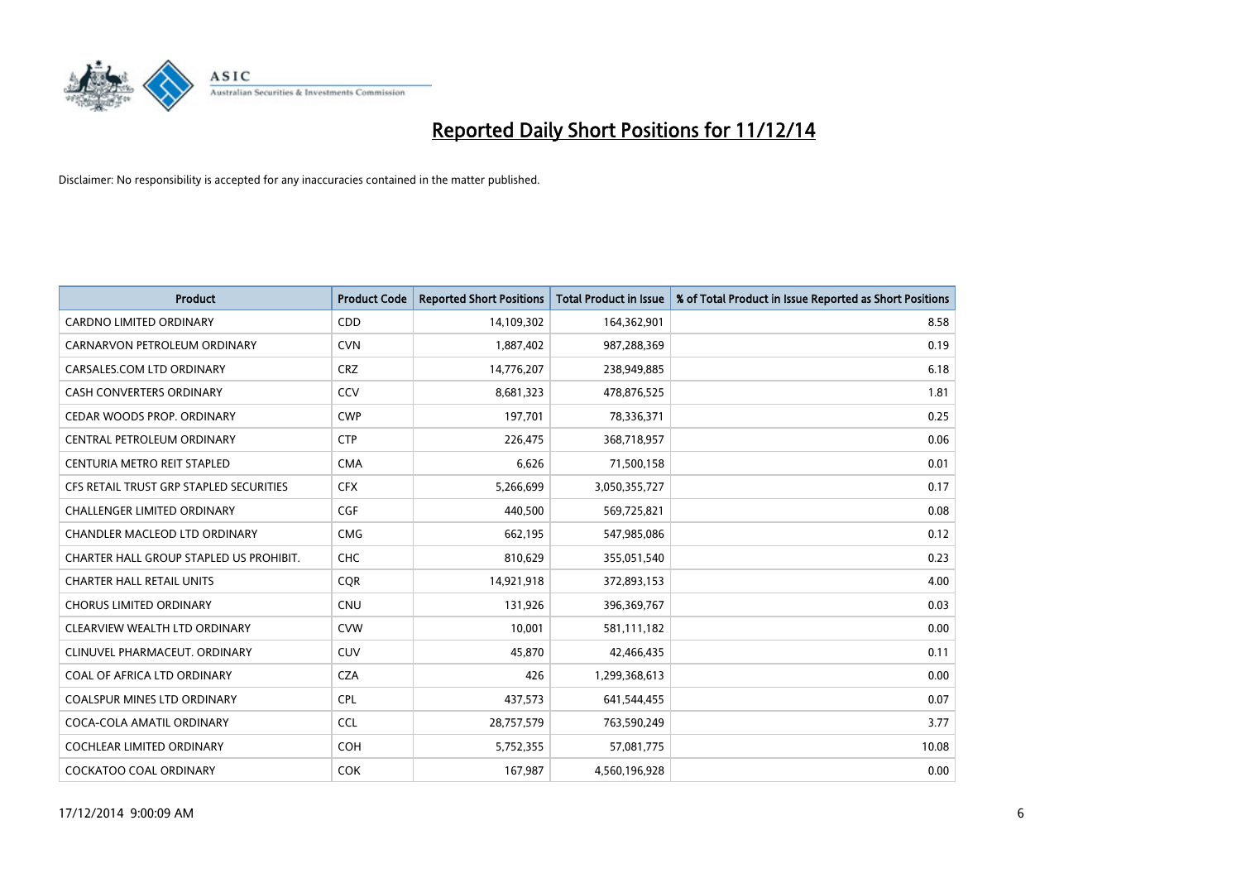

| <b>Product</b>                          | <b>Product Code</b> | <b>Reported Short Positions</b> | <b>Total Product in Issue</b> | % of Total Product in Issue Reported as Short Positions |
|-----------------------------------------|---------------------|---------------------------------|-------------------------------|---------------------------------------------------------|
| <b>CARDNO LIMITED ORDINARY</b>          | CDD                 | 14,109,302                      | 164,362,901                   | 8.58                                                    |
| CARNARVON PETROLEUM ORDINARY            | <b>CVN</b>          | 1,887,402                       | 987,288,369                   | 0.19                                                    |
| CARSALES.COM LTD ORDINARY               | <b>CRZ</b>          | 14,776,207                      | 238,949,885                   | 6.18                                                    |
| CASH CONVERTERS ORDINARY                | CCV                 | 8,681,323                       | 478,876,525                   | 1.81                                                    |
| CEDAR WOODS PROP. ORDINARY              | <b>CWP</b>          | 197,701                         | 78,336,371                    | 0.25                                                    |
| CENTRAL PETROLEUM ORDINARY              | <b>CTP</b>          | 226,475                         | 368,718,957                   | 0.06                                                    |
| CENTURIA METRO REIT STAPLED             | <b>CMA</b>          | 6,626                           | 71,500,158                    | 0.01                                                    |
| CFS RETAIL TRUST GRP STAPLED SECURITIES | <b>CFX</b>          | 5,266,699                       | 3,050,355,727                 | 0.17                                                    |
| <b>CHALLENGER LIMITED ORDINARY</b>      | <b>CGF</b>          | 440,500                         | 569,725,821                   | 0.08                                                    |
| CHANDLER MACLEOD LTD ORDINARY           | <b>CMG</b>          | 662,195                         | 547,985,086                   | 0.12                                                    |
| CHARTER HALL GROUP STAPLED US PROHIBIT. | <b>CHC</b>          | 810,629                         | 355,051,540                   | 0.23                                                    |
| <b>CHARTER HALL RETAIL UNITS</b>        | <b>CQR</b>          | 14,921,918                      | 372,893,153                   | 4.00                                                    |
| <b>CHORUS LIMITED ORDINARY</b>          | <b>CNU</b>          | 131,926                         | 396,369,767                   | 0.03                                                    |
| CLEARVIEW WEALTH LTD ORDINARY           | <b>CVW</b>          | 10,001                          | 581,111,182                   | 0.00                                                    |
| CLINUVEL PHARMACEUT, ORDINARY           | CUV                 | 45,870                          | 42,466,435                    | 0.11                                                    |
| COAL OF AFRICA LTD ORDINARY             | <b>CZA</b>          | 426                             | 1,299,368,613                 | 0.00                                                    |
| COALSPUR MINES LTD ORDINARY             | <b>CPL</b>          | 437,573                         | 641,544,455                   | 0.07                                                    |
| COCA-COLA AMATIL ORDINARY               | <b>CCL</b>          | 28,757,579                      | 763,590,249                   | 3.77                                                    |
| <b>COCHLEAR LIMITED ORDINARY</b>        | <b>COH</b>          | 5,752,355                       | 57,081,775                    | 10.08                                                   |
| COCKATOO COAL ORDINARY                  | <b>COK</b>          | 167,987                         | 4,560,196,928                 | 0.00                                                    |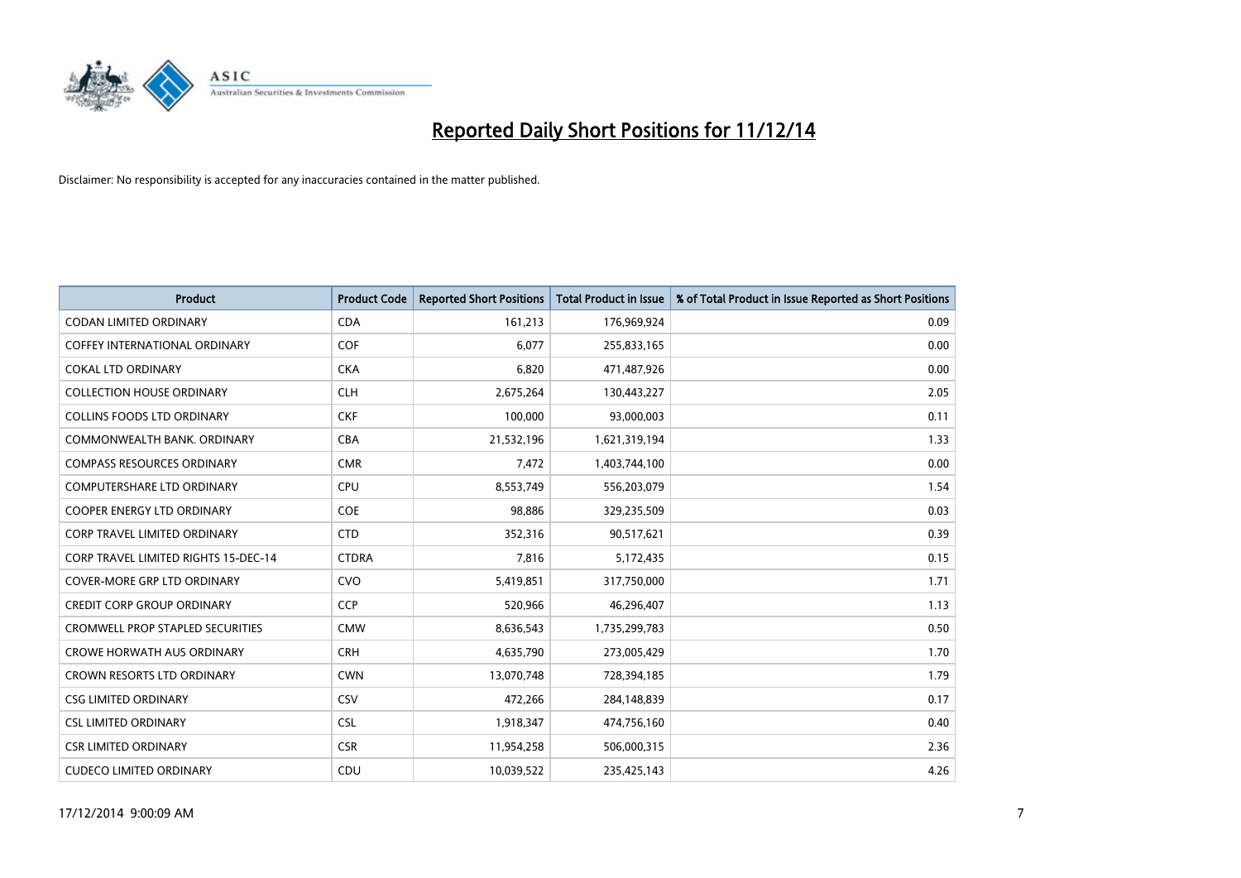

| <b>Product</b>                              | <b>Product Code</b> | <b>Reported Short Positions</b> | <b>Total Product in Issue</b> | % of Total Product in Issue Reported as Short Positions |
|---------------------------------------------|---------------------|---------------------------------|-------------------------------|---------------------------------------------------------|
| <b>CODAN LIMITED ORDINARY</b>               | <b>CDA</b>          | 161,213                         | 176,969,924                   | 0.09                                                    |
| COFFEY INTERNATIONAL ORDINARY               | <b>COF</b>          | 6,077                           | 255,833,165                   | 0.00                                                    |
| <b>COKAL LTD ORDINARY</b>                   | <b>CKA</b>          | 6,820                           | 471,487,926                   | 0.00                                                    |
| <b>COLLECTION HOUSE ORDINARY</b>            | <b>CLH</b>          | 2,675,264                       | 130,443,227                   | 2.05                                                    |
| <b>COLLINS FOODS LTD ORDINARY</b>           | <b>CKF</b>          | 100,000                         | 93,000,003                    | 0.11                                                    |
| COMMONWEALTH BANK, ORDINARY                 | <b>CBA</b>          | 21,532,196                      | 1,621,319,194                 | 1.33                                                    |
| <b>COMPASS RESOURCES ORDINARY</b>           | <b>CMR</b>          | 7,472                           | 1,403,744,100                 | 0.00                                                    |
| <b>COMPUTERSHARE LTD ORDINARY</b>           | <b>CPU</b>          | 8,553,749                       | 556,203,079                   | 1.54                                                    |
| <b>COOPER ENERGY LTD ORDINARY</b>           | <b>COE</b>          | 98,886                          | 329,235,509                   | 0.03                                                    |
| CORP TRAVEL LIMITED ORDINARY                | <b>CTD</b>          | 352,316                         | 90,517,621                    | 0.39                                                    |
| <b>CORP TRAVEL LIMITED RIGHTS 15-DEC-14</b> | <b>CTDRA</b>        | 7,816                           | 5,172,435                     | 0.15                                                    |
| <b>COVER-MORE GRP LTD ORDINARY</b>          | <b>CVO</b>          | 5,419,851                       | 317,750,000                   | 1.71                                                    |
| <b>CREDIT CORP GROUP ORDINARY</b>           | <b>CCP</b>          | 520,966                         | 46,296,407                    | 1.13                                                    |
| <b>CROMWELL PROP STAPLED SECURITIES</b>     | <b>CMW</b>          | 8,636,543                       | 1,735,299,783                 | 0.50                                                    |
| <b>CROWE HORWATH AUS ORDINARY</b>           | <b>CRH</b>          | 4,635,790                       | 273,005,429                   | 1.70                                                    |
| <b>CROWN RESORTS LTD ORDINARY</b>           | <b>CWN</b>          | 13,070,748                      | 728,394,185                   | 1.79                                                    |
| <b>CSG LIMITED ORDINARY</b>                 | CSV                 | 472,266                         | 284,148,839                   | 0.17                                                    |
| <b>CSL LIMITED ORDINARY</b>                 | <b>CSL</b>          | 1,918,347                       | 474,756,160                   | 0.40                                                    |
| <b>CSR LIMITED ORDINARY</b>                 | <b>CSR</b>          | 11,954,258                      | 506,000,315                   | 2.36                                                    |
| <b>CUDECO LIMITED ORDINARY</b>              | CDU                 | 10,039,522                      | 235,425,143                   | 4.26                                                    |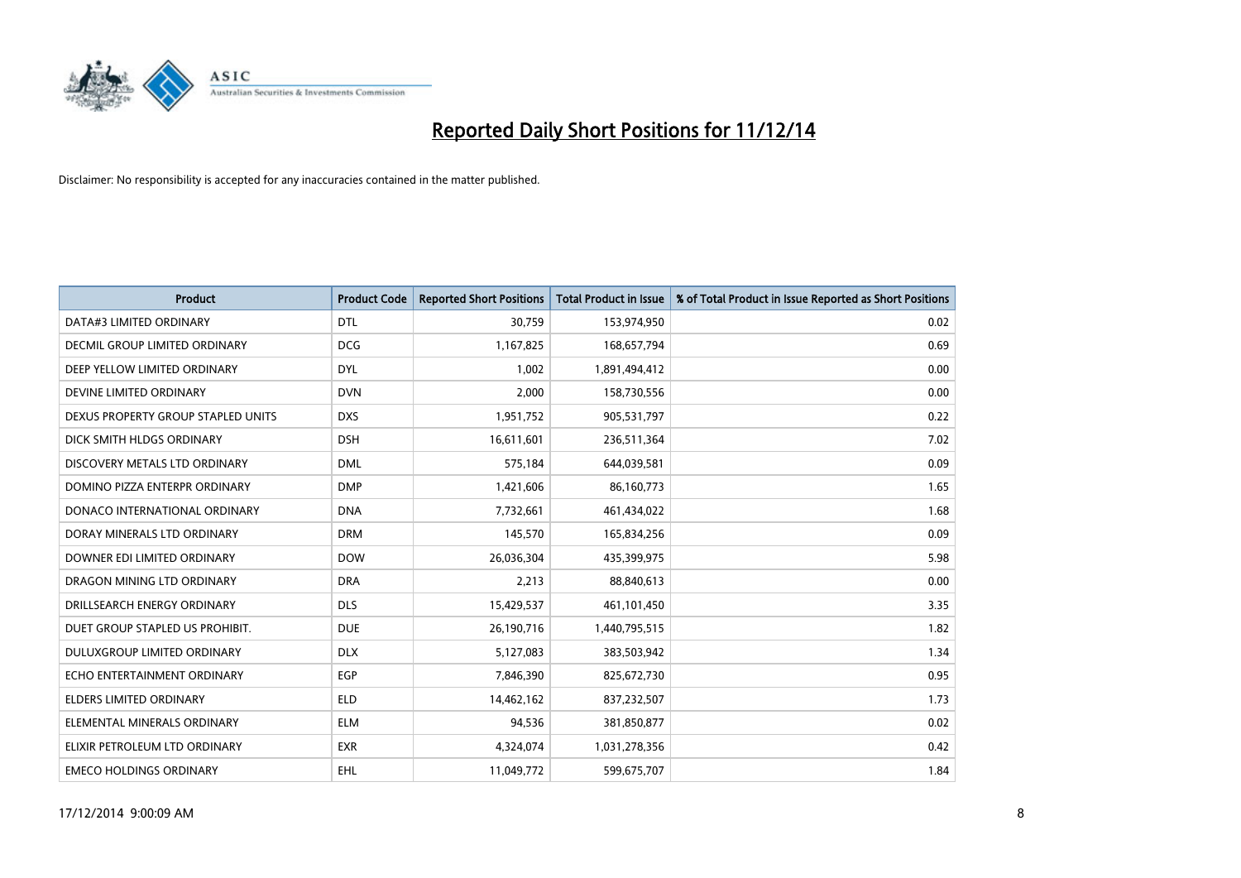

| <b>Product</b>                     | <b>Product Code</b> | <b>Reported Short Positions</b> | <b>Total Product in Issue</b> | % of Total Product in Issue Reported as Short Positions |
|------------------------------------|---------------------|---------------------------------|-------------------------------|---------------------------------------------------------|
| DATA#3 LIMITED ORDINARY            | <b>DTL</b>          | 30,759                          | 153,974,950                   | 0.02                                                    |
| DECMIL GROUP LIMITED ORDINARY      | <b>DCG</b>          | 1,167,825                       | 168,657,794                   | 0.69                                                    |
| DEEP YELLOW LIMITED ORDINARY       | <b>DYL</b>          | 1,002                           | 1,891,494,412                 | 0.00                                                    |
| DEVINE LIMITED ORDINARY            | <b>DVN</b>          | 2,000                           | 158,730,556                   | 0.00                                                    |
| DEXUS PROPERTY GROUP STAPLED UNITS | <b>DXS</b>          | 1,951,752                       | 905,531,797                   | 0.22                                                    |
| DICK SMITH HLDGS ORDINARY          | <b>DSH</b>          | 16,611,601                      | 236,511,364                   | 7.02                                                    |
| DISCOVERY METALS LTD ORDINARY      | <b>DML</b>          | 575,184                         | 644,039,581                   | 0.09                                                    |
| DOMINO PIZZA ENTERPR ORDINARY      | <b>DMP</b>          | 1,421,606                       | 86,160,773                    | 1.65                                                    |
| DONACO INTERNATIONAL ORDINARY      | <b>DNA</b>          | 7,732,661                       | 461,434,022                   | 1.68                                                    |
| DORAY MINERALS LTD ORDINARY        | <b>DRM</b>          | 145,570                         | 165,834,256                   | 0.09                                                    |
| DOWNER EDI LIMITED ORDINARY        | <b>DOW</b>          | 26,036,304                      | 435,399,975                   | 5.98                                                    |
| DRAGON MINING LTD ORDINARY         | <b>DRA</b>          | 2,213                           | 88,840,613                    | 0.00                                                    |
| DRILLSEARCH ENERGY ORDINARY        | <b>DLS</b>          | 15,429,537                      | 461,101,450                   | 3.35                                                    |
| DUET GROUP STAPLED US PROHIBIT.    | <b>DUE</b>          | 26,190,716                      | 1,440,795,515                 | 1.82                                                    |
| DULUXGROUP LIMITED ORDINARY        | <b>DLX</b>          | 5,127,083                       | 383,503,942                   | 1.34                                                    |
| ECHO ENTERTAINMENT ORDINARY        | <b>EGP</b>          | 7,846,390                       | 825,672,730                   | 0.95                                                    |
| ELDERS LIMITED ORDINARY            | <b>ELD</b>          | 14,462,162                      | 837,232,507                   | 1.73                                                    |
| ELEMENTAL MINERALS ORDINARY        | ELM                 | 94,536                          | 381,850,877                   | 0.02                                                    |
| ELIXIR PETROLEUM LTD ORDINARY      | <b>EXR</b>          | 4,324,074                       | 1,031,278,356                 | 0.42                                                    |
| <b>EMECO HOLDINGS ORDINARY</b>     | <b>EHL</b>          | 11,049,772                      | 599,675,707                   | 1.84                                                    |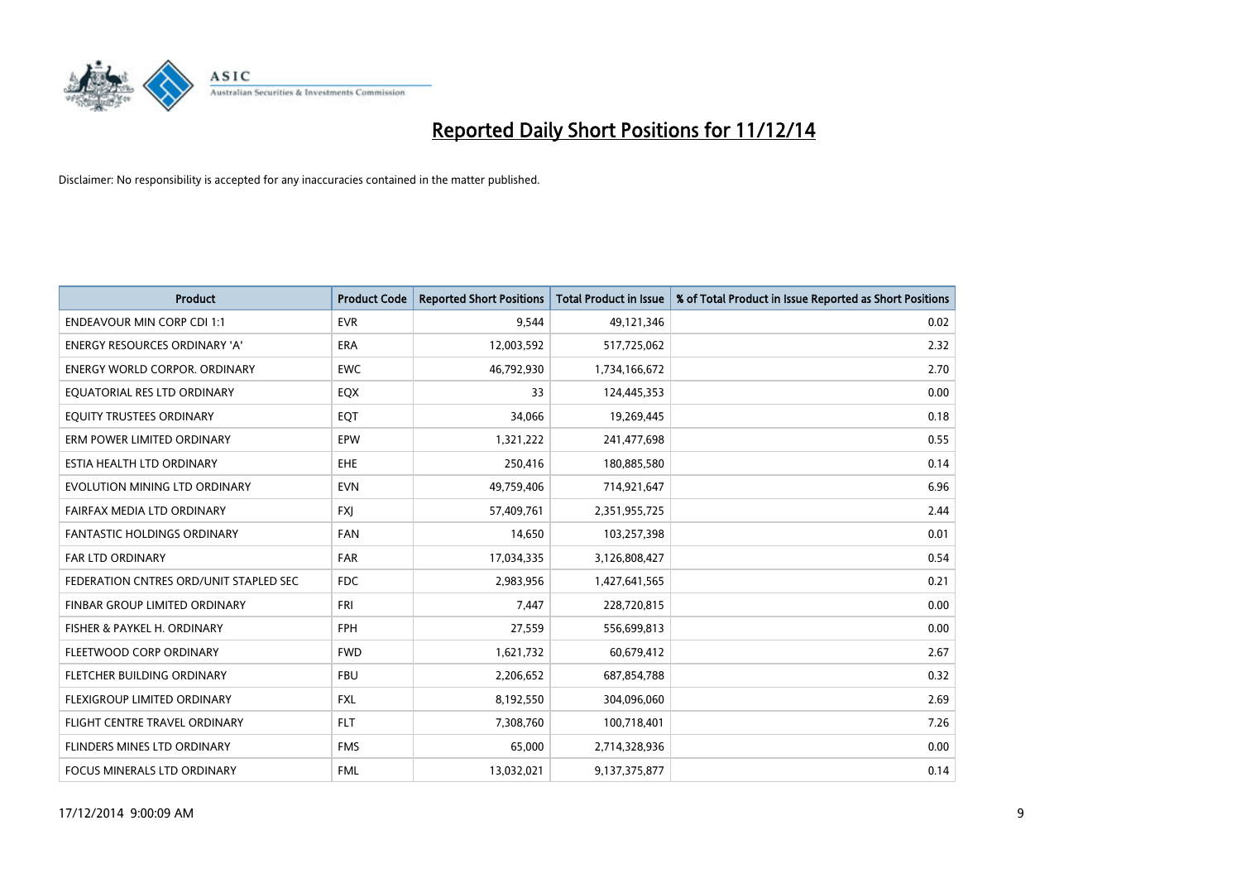

| <b>Product</b>                         | <b>Product Code</b> | <b>Reported Short Positions</b> | <b>Total Product in Issue</b> | % of Total Product in Issue Reported as Short Positions |
|----------------------------------------|---------------------|---------------------------------|-------------------------------|---------------------------------------------------------|
| <b>ENDEAVOUR MIN CORP CDI 1:1</b>      | <b>EVR</b>          | 9,544                           | 49,121,346                    | 0.02                                                    |
| ENERGY RESOURCES ORDINARY 'A'          | ERA                 | 12,003,592                      | 517,725,062                   | 2.32                                                    |
| <b>ENERGY WORLD CORPOR, ORDINARY</b>   | <b>EWC</b>          | 46,792,930                      | 1,734,166,672                 | 2.70                                                    |
| EQUATORIAL RES LTD ORDINARY            | EQX                 | 33                              | 124,445,353                   | 0.00                                                    |
| EQUITY TRUSTEES ORDINARY               | EQT                 | 34,066                          | 19,269,445                    | 0.18                                                    |
| ERM POWER LIMITED ORDINARY             | EPW                 | 1,321,222                       | 241,477,698                   | 0.55                                                    |
| ESTIA HEALTH LTD ORDINARY              | EHE                 | 250,416                         | 180,885,580                   | 0.14                                                    |
| EVOLUTION MINING LTD ORDINARY          | <b>EVN</b>          | 49,759,406                      | 714,921,647                   | 6.96                                                    |
| FAIRFAX MEDIA LTD ORDINARY             | <b>FXI</b>          | 57,409,761                      | 2,351,955,725                 | 2.44                                                    |
| <b>FANTASTIC HOLDINGS ORDINARY</b>     | <b>FAN</b>          | 14,650                          | 103,257,398                   | 0.01                                                    |
| <b>FAR LTD ORDINARY</b>                | FAR                 | 17,034,335                      | 3,126,808,427                 | 0.54                                                    |
| FEDERATION CNTRES ORD/UNIT STAPLED SEC | <b>FDC</b>          | 2,983,956                       | 1,427,641,565                 | 0.21                                                    |
| FINBAR GROUP LIMITED ORDINARY          | <b>FRI</b>          | 7,447                           | 228,720,815                   | 0.00                                                    |
| FISHER & PAYKEL H. ORDINARY            | <b>FPH</b>          | 27,559                          | 556,699,813                   | 0.00                                                    |
| FLEETWOOD CORP ORDINARY                | <b>FWD</b>          | 1,621,732                       | 60,679,412                    | 2.67                                                    |
| FLETCHER BUILDING ORDINARY             | <b>FBU</b>          | 2,206,652                       | 687,854,788                   | 0.32                                                    |
| FLEXIGROUP LIMITED ORDINARY            | FXL                 | 8,192,550                       | 304,096,060                   | 2.69                                                    |
| FLIGHT CENTRE TRAVEL ORDINARY          | <b>FLT</b>          | 7,308,760                       | 100,718,401                   | 7.26                                                    |
| FLINDERS MINES LTD ORDINARY            | <b>FMS</b>          | 65,000                          | 2,714,328,936                 | 0.00                                                    |
| FOCUS MINERALS LTD ORDINARY            | <b>FML</b>          | 13,032,021                      | 9,137,375,877                 | 0.14                                                    |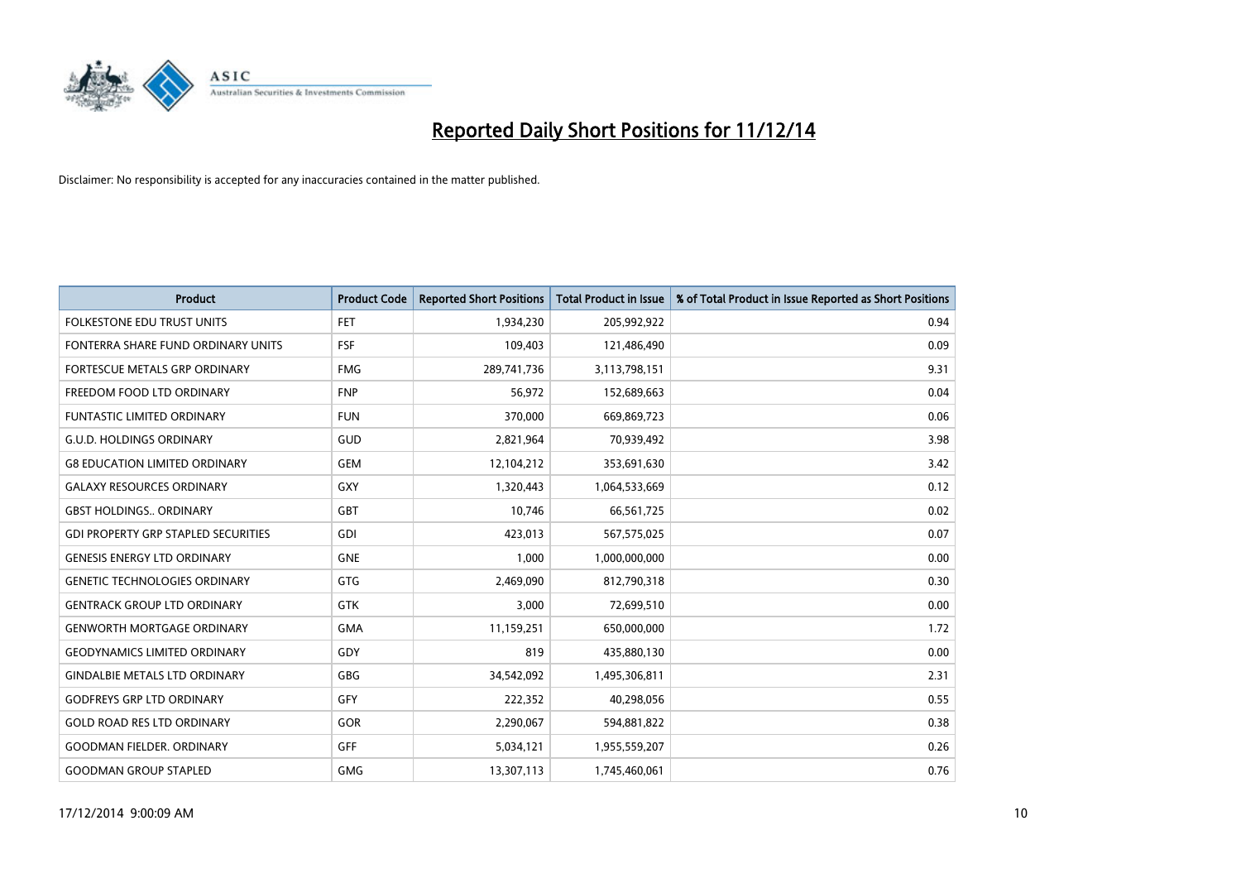

| <b>Product</b>                             | <b>Product Code</b> | <b>Reported Short Positions</b> | <b>Total Product in Issue</b> | % of Total Product in Issue Reported as Short Positions |
|--------------------------------------------|---------------------|---------------------------------|-------------------------------|---------------------------------------------------------|
| <b>FOLKESTONE EDU TRUST UNITS</b>          | <b>FET</b>          | 1,934,230                       | 205,992,922                   | 0.94                                                    |
| FONTERRA SHARE FUND ORDINARY UNITS         | <b>FSF</b>          | 109,403                         | 121,486,490                   | 0.09                                                    |
| <b>FORTESCUE METALS GRP ORDINARY</b>       | <b>FMG</b>          | 289,741,736                     | 3,113,798,151                 | 9.31                                                    |
| FREEDOM FOOD LTD ORDINARY                  | <b>FNP</b>          | 56,972                          | 152,689,663                   | 0.04                                                    |
| <b>FUNTASTIC LIMITED ORDINARY</b>          | <b>FUN</b>          | 370,000                         | 669,869,723                   | 0.06                                                    |
| <b>G.U.D. HOLDINGS ORDINARY</b>            | GUD                 | 2,821,964                       | 70,939,492                    | 3.98                                                    |
| <b>G8 EDUCATION LIMITED ORDINARY</b>       | <b>GEM</b>          | 12,104,212                      | 353,691,630                   | 3.42                                                    |
| <b>GALAXY RESOURCES ORDINARY</b>           | GXY                 | 1,320,443                       | 1,064,533,669                 | 0.12                                                    |
| <b>GBST HOLDINGS., ORDINARY</b>            | GBT                 | 10,746                          | 66,561,725                    | 0.02                                                    |
| <b>GDI PROPERTY GRP STAPLED SECURITIES</b> | GDI                 | 423,013                         | 567,575,025                   | 0.07                                                    |
| <b>GENESIS ENERGY LTD ORDINARY</b>         | <b>GNE</b>          | 1,000                           | 1,000,000,000                 | 0.00                                                    |
| <b>GENETIC TECHNOLOGIES ORDINARY</b>       | GTG                 | 2,469,090                       | 812,790,318                   | 0.30                                                    |
| <b>GENTRACK GROUP LTD ORDINARY</b>         | <b>GTK</b>          | 3,000                           | 72,699,510                    | 0.00                                                    |
| <b>GENWORTH MORTGAGE ORDINARY</b>          | <b>GMA</b>          | 11,159,251                      | 650,000,000                   | 1.72                                                    |
| <b>GEODYNAMICS LIMITED ORDINARY</b>        | GDY                 | 819                             | 435,880,130                   | 0.00                                                    |
| <b>GINDALBIE METALS LTD ORDINARY</b>       | GBG                 | 34,542,092                      | 1,495,306,811                 | 2.31                                                    |
| <b>GODFREYS GRP LTD ORDINARY</b>           | GFY                 | 222,352                         | 40,298,056                    | 0.55                                                    |
| <b>GOLD ROAD RES LTD ORDINARY</b>          | GOR                 | 2,290,067                       | 594,881,822                   | 0.38                                                    |
| <b>GOODMAN FIELDER, ORDINARY</b>           | <b>GFF</b>          | 5,034,121                       | 1,955,559,207                 | 0.26                                                    |
| <b>GOODMAN GROUP STAPLED</b>               | <b>GMG</b>          | 13,307,113                      | 1,745,460,061                 | 0.76                                                    |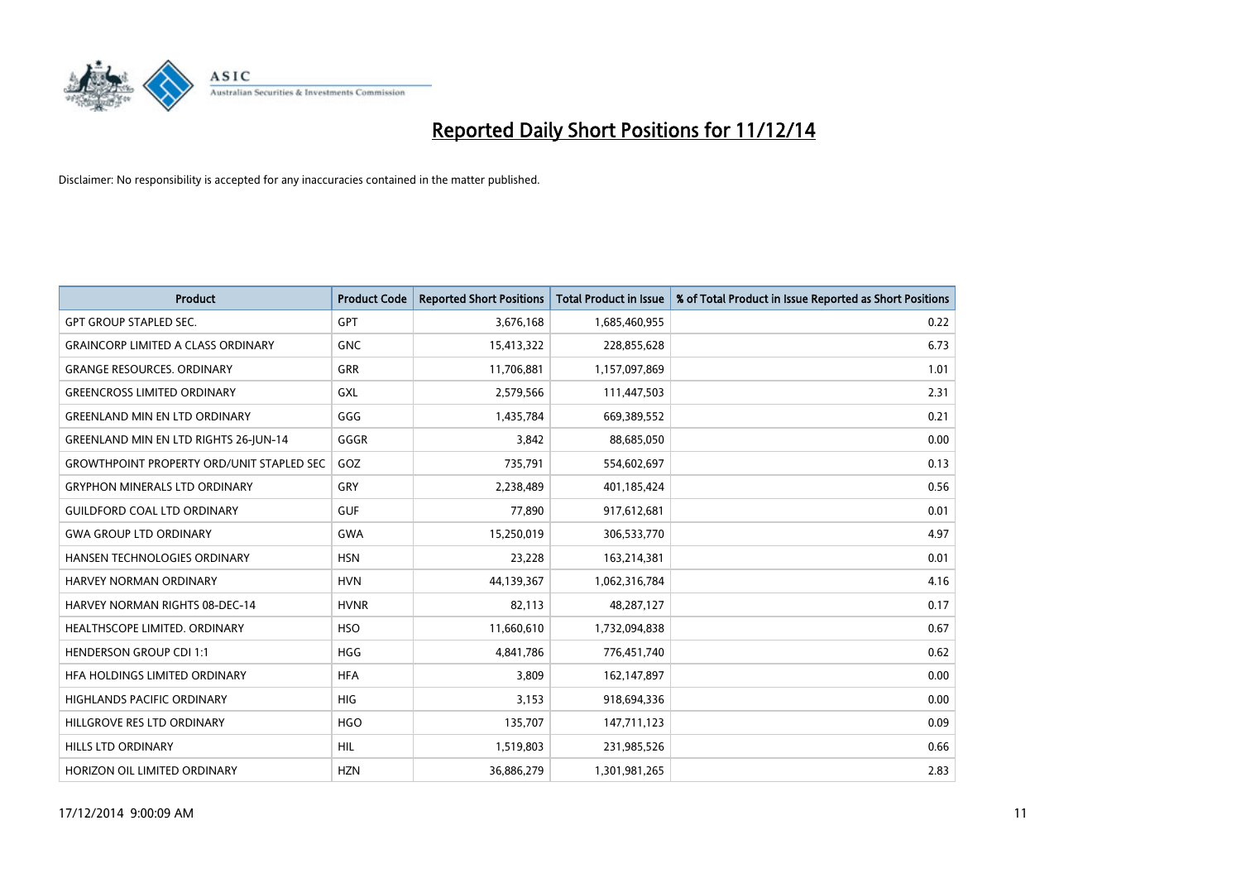

| <b>Product</b>                                   | <b>Product Code</b> | <b>Reported Short Positions</b> | <b>Total Product in Issue</b> | % of Total Product in Issue Reported as Short Positions |
|--------------------------------------------------|---------------------|---------------------------------|-------------------------------|---------------------------------------------------------|
| <b>GPT GROUP STAPLED SEC.</b>                    | <b>GPT</b>          | 3,676,168                       | 1,685,460,955                 | 0.22                                                    |
| <b>GRAINCORP LIMITED A CLASS ORDINARY</b>        | <b>GNC</b>          | 15,413,322                      | 228,855,628                   | 6.73                                                    |
| <b>GRANGE RESOURCES, ORDINARY</b>                | <b>GRR</b>          | 11,706,881                      | 1,157,097,869                 | 1.01                                                    |
| <b>GREENCROSS LIMITED ORDINARY</b>               | GXL                 | 2,579,566                       | 111,447,503                   | 2.31                                                    |
| <b>GREENLAND MIN EN LTD ORDINARY</b>             | GGG                 | 1,435,784                       | 669,389,552                   | 0.21                                                    |
| GREENLAND MIN EN LTD RIGHTS 26-JUN-14            | GGGR                | 3,842                           | 88,685,050                    | 0.00                                                    |
| <b>GROWTHPOINT PROPERTY ORD/UNIT STAPLED SEC</b> | GOZ                 | 735,791                         | 554,602,697                   | 0.13                                                    |
| <b>GRYPHON MINERALS LTD ORDINARY</b>             | GRY                 | 2,238,489                       | 401,185,424                   | 0.56                                                    |
| <b>GUILDFORD COAL LTD ORDINARY</b>               | <b>GUF</b>          | 77,890                          | 917,612,681                   | 0.01                                                    |
| <b>GWA GROUP LTD ORDINARY</b>                    | <b>GWA</b>          | 15,250,019                      | 306,533,770                   | 4.97                                                    |
| <b>HANSEN TECHNOLOGIES ORDINARY</b>              | <b>HSN</b>          | 23,228                          | 163,214,381                   | 0.01                                                    |
| HARVEY NORMAN ORDINARY                           | <b>HVN</b>          | 44,139,367                      | 1,062,316,784                 | 4.16                                                    |
| <b>HARVEY NORMAN RIGHTS 08-DEC-14</b>            | <b>HVNR</b>         | 82,113                          | 48,287,127                    | 0.17                                                    |
| HEALTHSCOPE LIMITED. ORDINARY                    | <b>HSO</b>          | 11,660,610                      | 1,732,094,838                 | 0.67                                                    |
| <b>HENDERSON GROUP CDI 1:1</b>                   | <b>HGG</b>          | 4,841,786                       | 776,451,740                   | 0.62                                                    |
| HFA HOLDINGS LIMITED ORDINARY                    | <b>HFA</b>          | 3,809                           | 162,147,897                   | 0.00                                                    |
| <b>HIGHLANDS PACIFIC ORDINARY</b>                | <b>HIG</b>          | 3,153                           | 918,694,336                   | 0.00                                                    |
| HILLGROVE RES LTD ORDINARY                       | <b>HGO</b>          | 135,707                         | 147,711,123                   | 0.09                                                    |
| <b>HILLS LTD ORDINARY</b>                        | <b>HIL</b>          | 1,519,803                       | 231,985,526                   | 0.66                                                    |
| HORIZON OIL LIMITED ORDINARY                     | <b>HZN</b>          | 36,886,279                      | 1,301,981,265                 | 2.83                                                    |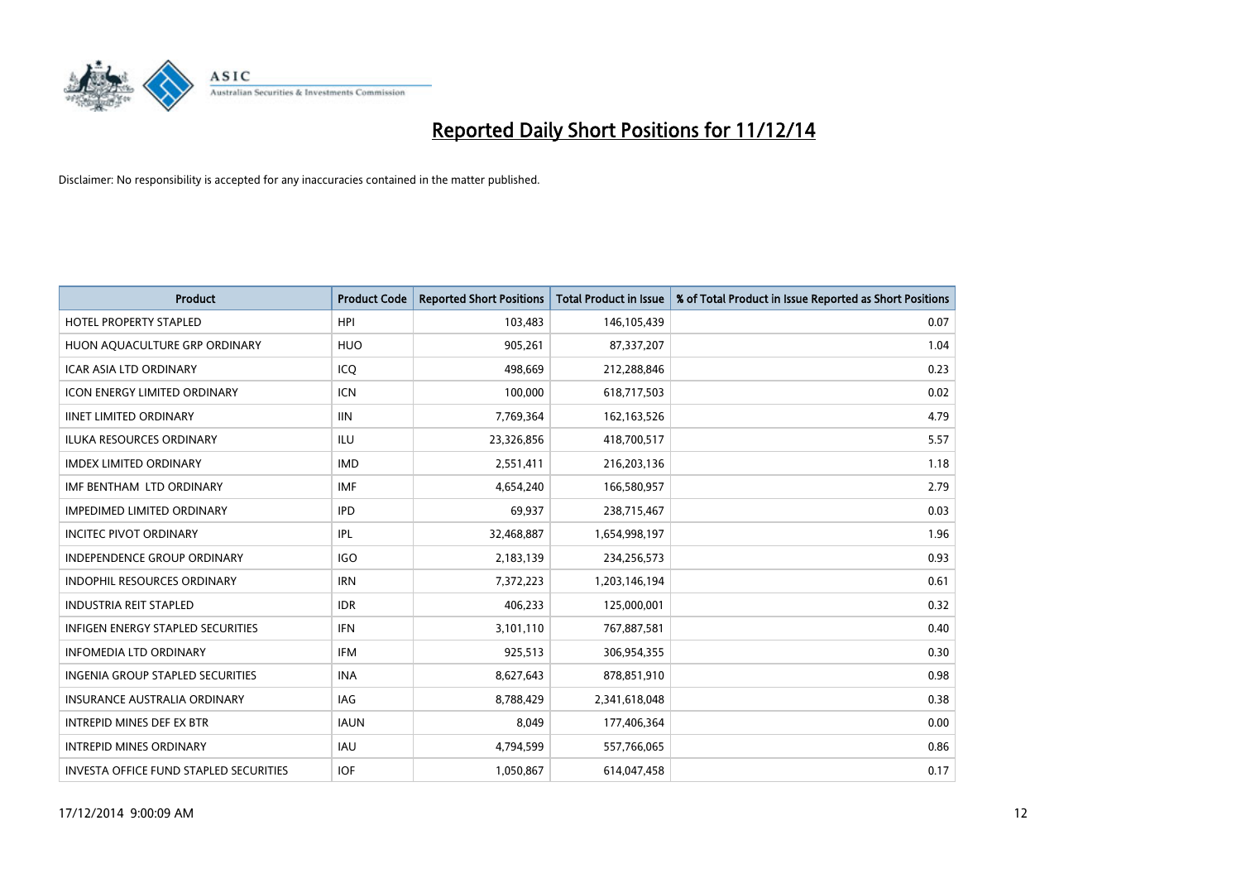

| Product                                       | <b>Product Code</b> | <b>Reported Short Positions</b> | <b>Total Product in Issue</b> | % of Total Product in Issue Reported as Short Positions |
|-----------------------------------------------|---------------------|---------------------------------|-------------------------------|---------------------------------------------------------|
| <b>HOTEL PROPERTY STAPLED</b>                 | <b>HPI</b>          | 103,483                         | 146,105,439                   | 0.07                                                    |
| HUON AQUACULTURE GRP ORDINARY                 | <b>HUO</b>          | 905,261                         | 87,337,207                    | 1.04                                                    |
| <b>ICAR ASIA LTD ORDINARY</b>                 | ICQ                 | 498,669                         | 212,288,846                   | 0.23                                                    |
| <b>ICON ENERGY LIMITED ORDINARY</b>           | <b>ICN</b>          | 100,000                         | 618,717,503                   | 0.02                                                    |
| <b>IINET LIMITED ORDINARY</b>                 | <b>IIN</b>          | 7,769,364                       | 162, 163, 526                 | 4.79                                                    |
| <b>ILUKA RESOURCES ORDINARY</b>               | <b>ILU</b>          | 23,326,856                      | 418,700,517                   | 5.57                                                    |
| <b>IMDEX LIMITED ORDINARY</b>                 | <b>IMD</b>          | 2,551,411                       | 216,203,136                   | 1.18                                                    |
| IMF BENTHAM LTD ORDINARY                      | <b>IMF</b>          | 4,654,240                       | 166,580,957                   | 2.79                                                    |
| <b>IMPEDIMED LIMITED ORDINARY</b>             | <b>IPD</b>          | 69,937                          | 238,715,467                   | 0.03                                                    |
| <b>INCITEC PIVOT ORDINARY</b>                 | IPL                 | 32,468,887                      | 1,654,998,197                 | 1.96                                                    |
| INDEPENDENCE GROUP ORDINARY                   | <b>IGO</b>          | 2,183,139                       | 234,256,573                   | 0.93                                                    |
| <b>INDOPHIL RESOURCES ORDINARY</b>            | <b>IRN</b>          | 7,372,223                       | 1,203,146,194                 | 0.61                                                    |
| <b>INDUSTRIA REIT STAPLED</b>                 | <b>IDR</b>          | 406,233                         | 125,000,001                   | 0.32                                                    |
| <b>INFIGEN ENERGY STAPLED SECURITIES</b>      | <b>IFN</b>          | 3,101,110                       | 767,887,581                   | 0.40                                                    |
| <b>INFOMEDIA LTD ORDINARY</b>                 | <b>IFM</b>          | 925,513                         | 306,954,355                   | 0.30                                                    |
| <b>INGENIA GROUP STAPLED SECURITIES</b>       | <b>INA</b>          | 8,627,643                       | 878,851,910                   | 0.98                                                    |
| INSURANCE AUSTRALIA ORDINARY                  | IAG                 | 8,788,429                       | 2,341,618,048                 | 0.38                                                    |
| <b>INTREPID MINES DEF EX BTR</b>              | <b>IAUN</b>         | 8,049                           | 177,406,364                   | 0.00                                                    |
| <b>INTREPID MINES ORDINARY</b>                | <b>IAU</b>          | 4,794,599                       | 557,766,065                   | 0.86                                                    |
| <b>INVESTA OFFICE FUND STAPLED SECURITIES</b> | <b>IOF</b>          | 1,050,867                       | 614,047,458                   | 0.17                                                    |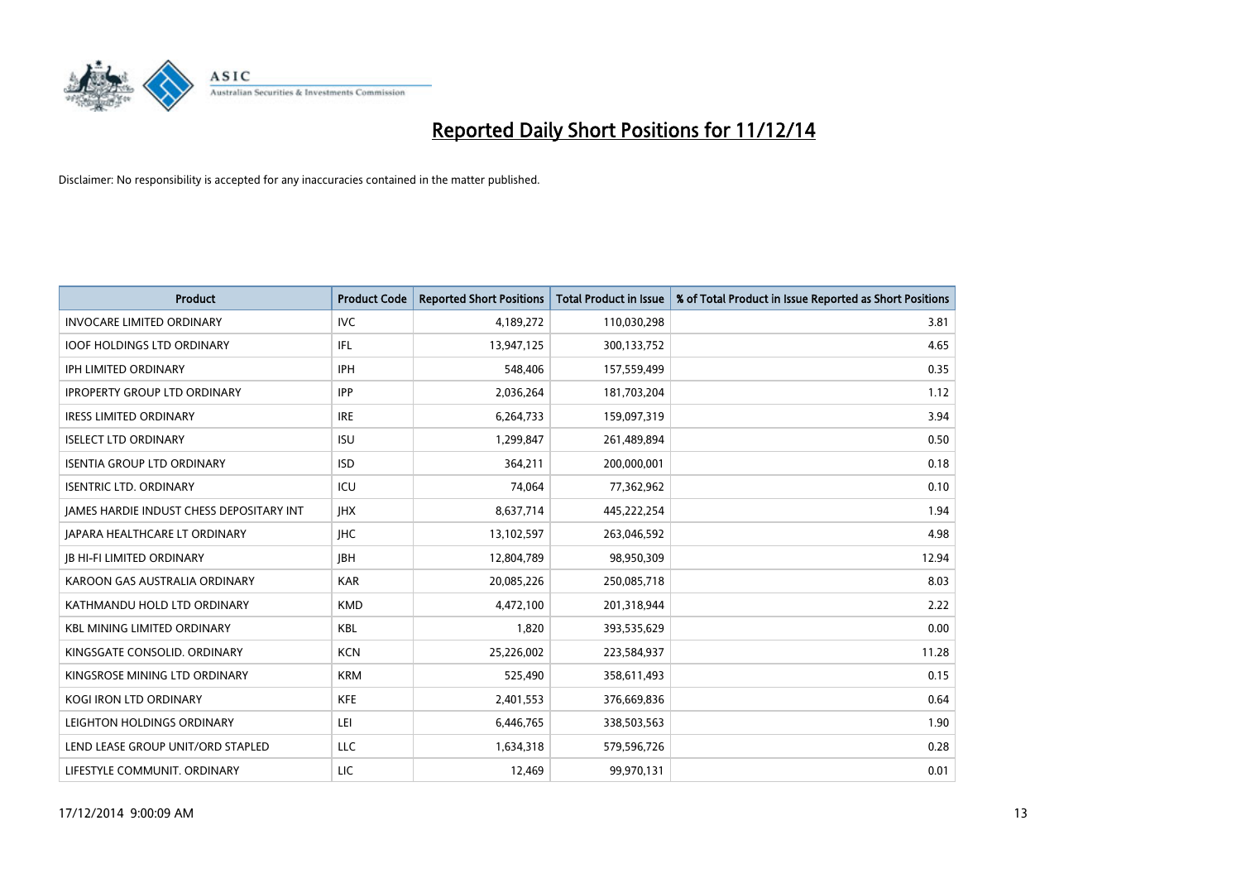

| <b>Product</b>                           | <b>Product Code</b> | <b>Reported Short Positions</b> | <b>Total Product in Issue</b> | % of Total Product in Issue Reported as Short Positions |
|------------------------------------------|---------------------|---------------------------------|-------------------------------|---------------------------------------------------------|
| <b>INVOCARE LIMITED ORDINARY</b>         | <b>IVC</b>          | 4,189,272                       | 110,030,298                   | 3.81                                                    |
| <b>IOOF HOLDINGS LTD ORDINARY</b>        | IFL                 | 13,947,125                      | 300,133,752                   | 4.65                                                    |
| <b>IPH LIMITED ORDINARY</b>              | <b>IPH</b>          | 548,406                         | 157,559,499                   | 0.35                                                    |
| <b>IPROPERTY GROUP LTD ORDINARY</b>      | <b>IPP</b>          | 2,036,264                       | 181,703,204                   | 1.12                                                    |
| <b>IRESS LIMITED ORDINARY</b>            | <b>IRE</b>          | 6,264,733                       | 159,097,319                   | 3.94                                                    |
| <b>ISELECT LTD ORDINARY</b>              | <b>ISU</b>          | 1,299,847                       | 261,489,894                   | 0.50                                                    |
| <b>ISENTIA GROUP LTD ORDINARY</b>        | <b>ISD</b>          | 364,211                         | 200,000,001                   | 0.18                                                    |
| <b>ISENTRIC LTD. ORDINARY</b>            | ICU                 | 74,064                          | 77,362,962                    | 0.10                                                    |
| JAMES HARDIE INDUST CHESS DEPOSITARY INT | <b>IHX</b>          | 8,637,714                       | 445,222,254                   | 1.94                                                    |
| JAPARA HEALTHCARE LT ORDINARY            | <b>IHC</b>          | 13,102,597                      | 263,046,592                   | 4.98                                                    |
| <b>JB HI-FI LIMITED ORDINARY</b>         | <b>JBH</b>          | 12,804,789                      | 98,950,309                    | 12.94                                                   |
| KAROON GAS AUSTRALIA ORDINARY            | <b>KAR</b>          | 20,085,226                      | 250,085,718                   | 8.03                                                    |
| KATHMANDU HOLD LTD ORDINARY              | <b>KMD</b>          | 4,472,100                       | 201,318,944                   | 2.22                                                    |
| <b>KBL MINING LIMITED ORDINARY</b>       | KBL                 | 1,820                           | 393,535,629                   | 0.00                                                    |
| KINGSGATE CONSOLID, ORDINARY             | <b>KCN</b>          | 25,226,002                      | 223,584,937                   | 11.28                                                   |
| KINGSROSE MINING LTD ORDINARY            | <b>KRM</b>          | 525,490                         | 358,611,493                   | 0.15                                                    |
| KOGI IRON LTD ORDINARY                   | KFE                 | 2,401,553                       | 376,669,836                   | 0.64                                                    |
| LEIGHTON HOLDINGS ORDINARY               | LEI                 | 6,446,765                       | 338,503,563                   | 1.90                                                    |
| LEND LEASE GROUP UNIT/ORD STAPLED        | LLC                 | 1,634,318                       | 579,596,726                   | 0.28                                                    |
| LIFESTYLE COMMUNIT. ORDINARY             | LIC                 | 12,469                          | 99,970,131                    | 0.01                                                    |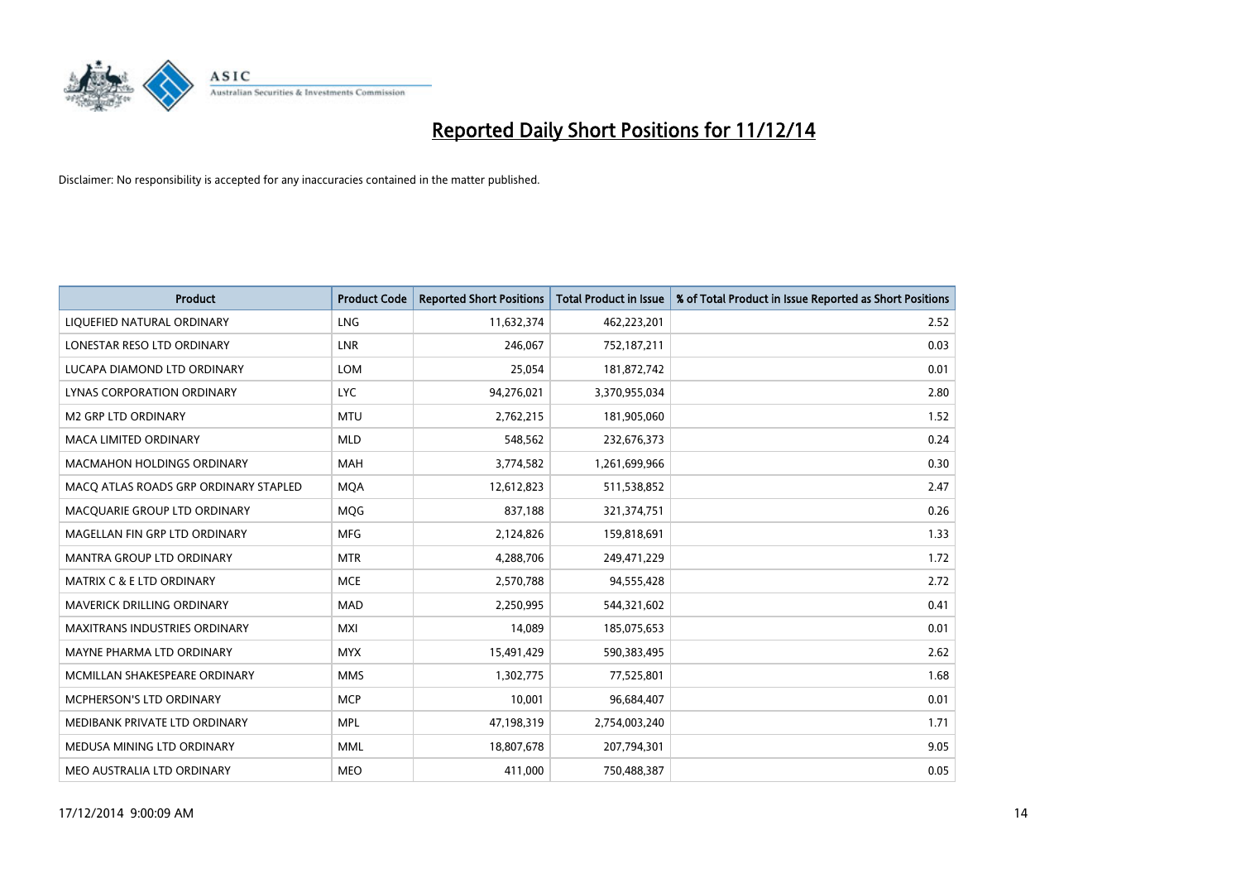

| <b>Product</b>                        | <b>Product Code</b> | <b>Reported Short Positions</b> | <b>Total Product in Issue</b> | % of Total Product in Issue Reported as Short Positions |
|---------------------------------------|---------------------|---------------------------------|-------------------------------|---------------------------------------------------------|
| LIQUEFIED NATURAL ORDINARY            | <b>LNG</b>          | 11,632,374                      | 462,223,201                   | 2.52                                                    |
| LONESTAR RESO LTD ORDINARY            | LNR                 | 246,067                         | 752,187,211                   | 0.03                                                    |
| LUCAPA DIAMOND LTD ORDINARY           | <b>LOM</b>          | 25,054                          | 181,872,742                   | 0.01                                                    |
| LYNAS CORPORATION ORDINARY            | <b>LYC</b>          | 94,276,021                      | 3,370,955,034                 | 2.80                                                    |
| <b>M2 GRP LTD ORDINARY</b>            | <b>MTU</b>          | 2,762,215                       | 181,905,060                   | 1.52                                                    |
| <b>MACA LIMITED ORDINARY</b>          | <b>MLD</b>          | 548,562                         | 232,676,373                   | 0.24                                                    |
| <b>MACMAHON HOLDINGS ORDINARY</b>     | MAH                 | 3,774,582                       | 1,261,699,966                 | 0.30                                                    |
| MACO ATLAS ROADS GRP ORDINARY STAPLED | <b>MOA</b>          | 12,612,823                      | 511,538,852                   | 2.47                                                    |
| MACQUARIE GROUP LTD ORDINARY          | MQG                 | 837,188                         | 321,374,751                   | 0.26                                                    |
| MAGELLAN FIN GRP LTD ORDINARY         | <b>MFG</b>          | 2,124,826                       | 159,818,691                   | 1.33                                                    |
| MANTRA GROUP LTD ORDINARY             | <b>MTR</b>          | 4,288,706                       | 249,471,229                   | 1.72                                                    |
| MATRIX C & E LTD ORDINARY             | <b>MCE</b>          | 2,570,788                       | 94,555,428                    | 2.72                                                    |
| MAVERICK DRILLING ORDINARY            | <b>MAD</b>          | 2,250,995                       | 544,321,602                   | 0.41                                                    |
| <b>MAXITRANS INDUSTRIES ORDINARY</b>  | <b>MXI</b>          | 14,089                          | 185,075,653                   | 0.01                                                    |
| MAYNE PHARMA LTD ORDINARY             | <b>MYX</b>          | 15,491,429                      | 590,383,495                   | 2.62                                                    |
| MCMILLAN SHAKESPEARE ORDINARY         | <b>MMS</b>          | 1,302,775                       | 77,525,801                    | 1.68                                                    |
| MCPHERSON'S LTD ORDINARY              | <b>MCP</b>          | 10,001                          | 96,684,407                    | 0.01                                                    |
| MEDIBANK PRIVATE LTD ORDINARY         | <b>MPL</b>          | 47,198,319                      | 2,754,003,240                 | 1.71                                                    |
| MEDUSA MINING LTD ORDINARY            | <b>MML</b>          | 18,807,678                      | 207,794,301                   | 9.05                                                    |
| MEO AUSTRALIA LTD ORDINARY            | <b>MEO</b>          | 411,000                         | 750,488,387                   | 0.05                                                    |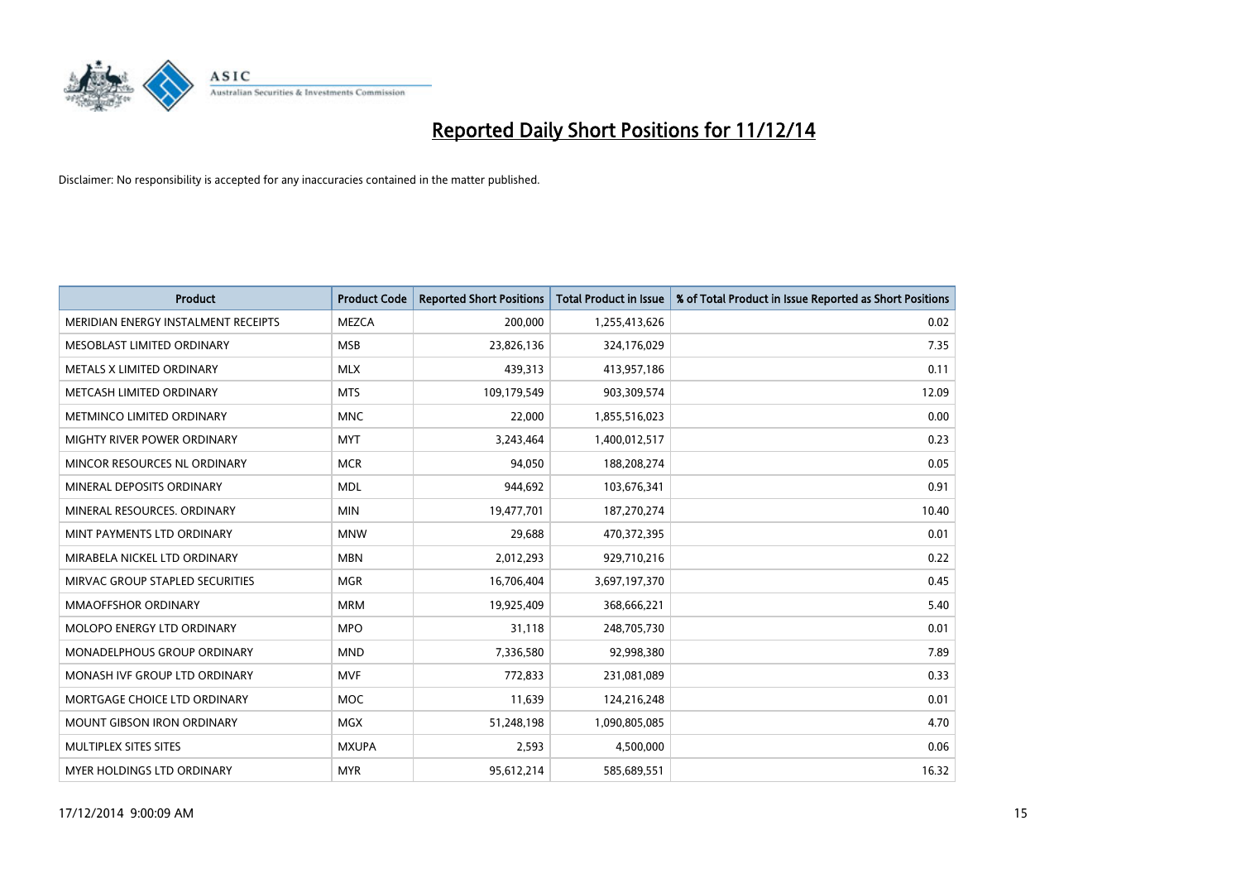

| <b>Product</b>                      | <b>Product Code</b> | <b>Reported Short Positions</b> | <b>Total Product in Issue</b> | % of Total Product in Issue Reported as Short Positions |
|-------------------------------------|---------------------|---------------------------------|-------------------------------|---------------------------------------------------------|
| MERIDIAN ENERGY INSTALMENT RECEIPTS | <b>MEZCA</b>        | 200,000                         | 1,255,413,626                 | 0.02                                                    |
| MESOBLAST LIMITED ORDINARY          | <b>MSB</b>          | 23,826,136                      | 324,176,029                   | 7.35                                                    |
| METALS X LIMITED ORDINARY           | <b>MLX</b>          | 439,313                         | 413,957,186                   | 0.11                                                    |
| METCASH LIMITED ORDINARY            | <b>MTS</b>          | 109,179,549                     | 903,309,574                   | 12.09                                                   |
| METMINCO LIMITED ORDINARY           | <b>MNC</b>          | 22,000                          | 1,855,516,023                 | 0.00                                                    |
| MIGHTY RIVER POWER ORDINARY         | <b>MYT</b>          | 3,243,464                       | 1,400,012,517                 | 0.23                                                    |
| MINCOR RESOURCES NL ORDINARY        | <b>MCR</b>          | 94,050                          | 188,208,274                   | 0.05                                                    |
| MINERAL DEPOSITS ORDINARY           | <b>MDL</b>          | 944,692                         | 103,676,341                   | 0.91                                                    |
| MINERAL RESOURCES, ORDINARY         | <b>MIN</b>          | 19,477,701                      | 187,270,274                   | 10.40                                                   |
| MINT PAYMENTS LTD ORDINARY          | <b>MNW</b>          | 29,688                          | 470,372,395                   | 0.01                                                    |
| MIRABELA NICKEL LTD ORDINARY        | <b>MBN</b>          | 2,012,293                       | 929,710,216                   | 0.22                                                    |
| MIRVAC GROUP STAPLED SECURITIES     | <b>MGR</b>          | 16,706,404                      | 3,697,197,370                 | 0.45                                                    |
| <b>MMAOFFSHOR ORDINARY</b>          | <b>MRM</b>          | 19,925,409                      | 368,666,221                   | 5.40                                                    |
| MOLOPO ENERGY LTD ORDINARY          | <b>MPO</b>          | 31,118                          | 248,705,730                   | 0.01                                                    |
| MONADELPHOUS GROUP ORDINARY         | <b>MND</b>          | 7,336,580                       | 92,998,380                    | 7.89                                                    |
| MONASH IVF GROUP LTD ORDINARY       | <b>MVF</b>          | 772,833                         | 231,081,089                   | 0.33                                                    |
| MORTGAGE CHOICE LTD ORDINARY        | MOC                 | 11,639                          | 124,216,248                   | 0.01                                                    |
| <b>MOUNT GIBSON IRON ORDINARY</b>   | <b>MGX</b>          | 51,248,198                      | 1,090,805,085                 | 4.70                                                    |
| MULTIPLEX SITES SITES               | <b>MXUPA</b>        | 2,593                           | 4,500,000                     | 0.06                                                    |
| MYER HOLDINGS LTD ORDINARY          | <b>MYR</b>          | 95,612,214                      | 585,689,551                   | 16.32                                                   |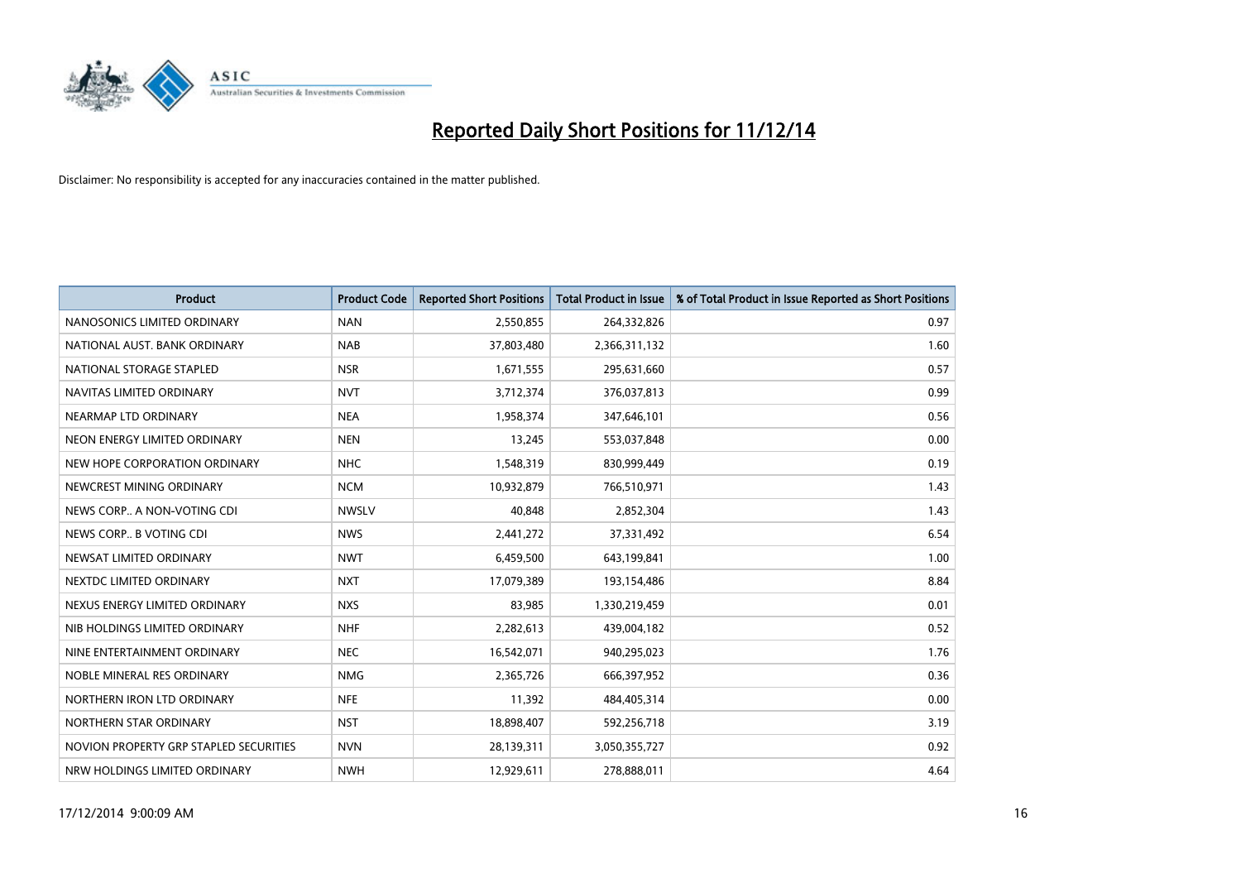

| <b>Product</b>                         | <b>Product Code</b> | <b>Reported Short Positions</b> | <b>Total Product in Issue</b> | % of Total Product in Issue Reported as Short Positions |
|----------------------------------------|---------------------|---------------------------------|-------------------------------|---------------------------------------------------------|
| NANOSONICS LIMITED ORDINARY            | <b>NAN</b>          | 2,550,855                       | 264,332,826                   | 0.97                                                    |
| NATIONAL AUST. BANK ORDINARY           | <b>NAB</b>          | 37,803,480                      | 2,366,311,132                 | 1.60                                                    |
| NATIONAL STORAGE STAPLED               | <b>NSR</b>          | 1,671,555                       | 295,631,660                   | 0.57                                                    |
| NAVITAS LIMITED ORDINARY               | <b>NVT</b>          | 3,712,374                       | 376,037,813                   | 0.99                                                    |
| NEARMAP LTD ORDINARY                   | <b>NEA</b>          | 1,958,374                       | 347,646,101                   | 0.56                                                    |
| NEON ENERGY LIMITED ORDINARY           | <b>NEN</b>          | 13,245                          | 553,037,848                   | 0.00                                                    |
| NEW HOPE CORPORATION ORDINARY          | <b>NHC</b>          | 1,548,319                       | 830,999,449                   | 0.19                                                    |
| NEWCREST MINING ORDINARY               | <b>NCM</b>          | 10,932,879                      | 766,510,971                   | 1.43                                                    |
| NEWS CORP A NON-VOTING CDI             | <b>NWSLV</b>        | 40,848                          | 2,852,304                     | 1.43                                                    |
| NEWS CORP B VOTING CDI                 | <b>NWS</b>          | 2,441,272                       | 37,331,492                    | 6.54                                                    |
| NEWSAT LIMITED ORDINARY                | <b>NWT</b>          | 6,459,500                       | 643,199,841                   | 1.00                                                    |
| NEXTDC LIMITED ORDINARY                | <b>NXT</b>          | 17,079,389                      | 193,154,486                   | 8.84                                                    |
| NEXUS ENERGY LIMITED ORDINARY          | <b>NXS</b>          | 83,985                          | 1,330,219,459                 | 0.01                                                    |
| NIB HOLDINGS LIMITED ORDINARY          | <b>NHF</b>          | 2,282,613                       | 439,004,182                   | 0.52                                                    |
| NINE ENTERTAINMENT ORDINARY            | <b>NEC</b>          | 16,542,071                      | 940,295,023                   | 1.76                                                    |
| NOBLE MINERAL RES ORDINARY             | <b>NMG</b>          | 2,365,726                       | 666,397,952                   | 0.36                                                    |
| NORTHERN IRON LTD ORDINARY             | <b>NFE</b>          | 11,392                          | 484,405,314                   | 0.00                                                    |
| NORTHERN STAR ORDINARY                 | <b>NST</b>          | 18,898,407                      | 592,256,718                   | 3.19                                                    |
| NOVION PROPERTY GRP STAPLED SECURITIES | <b>NVN</b>          | 28,139,311                      | 3,050,355,727                 | 0.92                                                    |
| NRW HOLDINGS LIMITED ORDINARY          | <b>NWH</b>          | 12,929,611                      | 278,888,011                   | 4.64                                                    |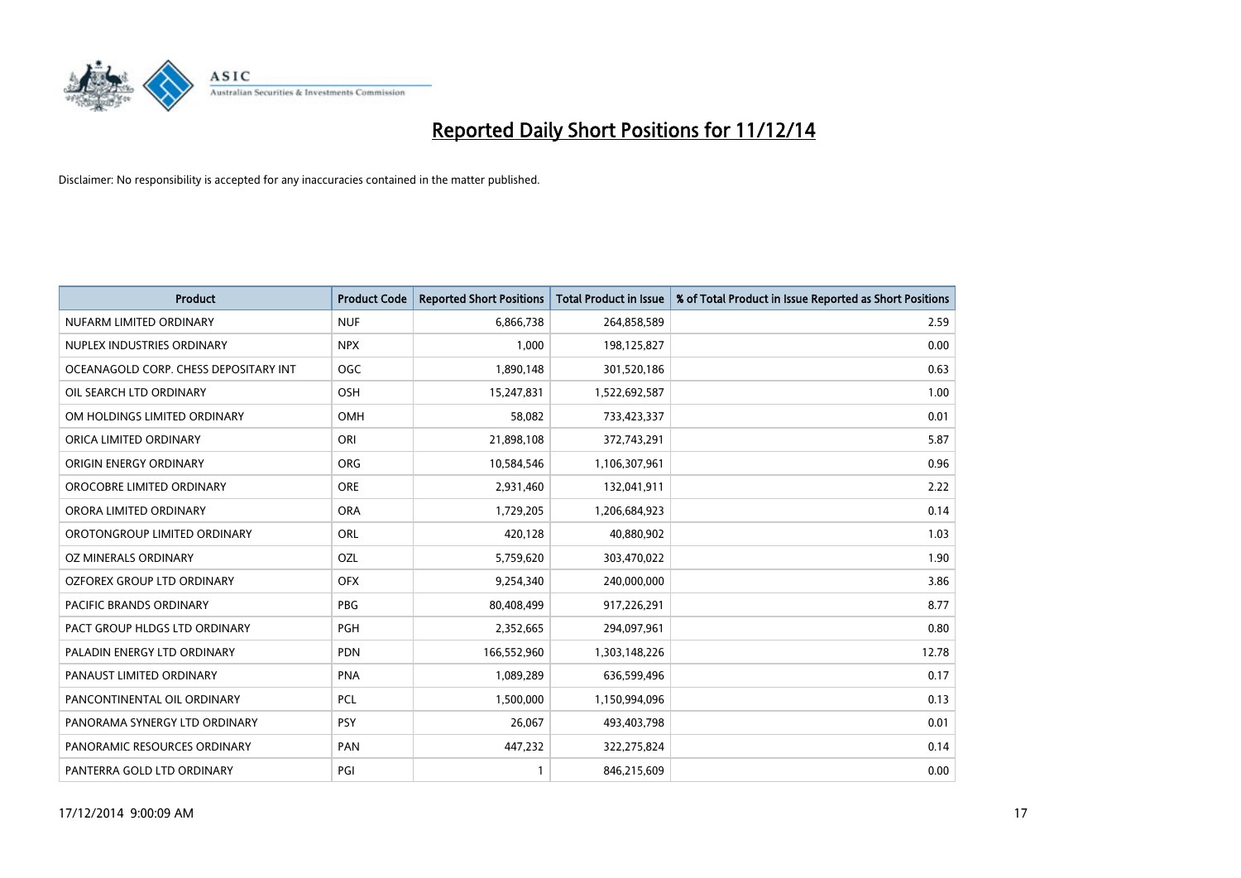

| <b>Product</b>                        | <b>Product Code</b> | <b>Reported Short Positions</b> | <b>Total Product in Issue</b> | % of Total Product in Issue Reported as Short Positions |
|---------------------------------------|---------------------|---------------------------------|-------------------------------|---------------------------------------------------------|
| NUFARM LIMITED ORDINARY               | <b>NUF</b>          | 6,866,738                       | 264,858,589                   | 2.59                                                    |
| NUPLEX INDUSTRIES ORDINARY            | <b>NPX</b>          | 1,000                           | 198,125,827                   | 0.00                                                    |
| OCEANAGOLD CORP. CHESS DEPOSITARY INT | <b>OGC</b>          | 1,890,148                       | 301,520,186                   | 0.63                                                    |
| OIL SEARCH LTD ORDINARY               | OSH                 | 15,247,831                      | 1,522,692,587                 | 1.00                                                    |
| OM HOLDINGS LIMITED ORDINARY          | OMH                 | 58,082                          | 733,423,337                   | 0.01                                                    |
| ORICA LIMITED ORDINARY                | ORI                 | 21,898,108                      | 372,743,291                   | 5.87                                                    |
| ORIGIN ENERGY ORDINARY                | <b>ORG</b>          | 10,584,546                      | 1,106,307,961                 | 0.96                                                    |
| OROCOBRE LIMITED ORDINARY             | <b>ORE</b>          | 2,931,460                       | 132,041,911                   | 2.22                                                    |
| ORORA LIMITED ORDINARY                | <b>ORA</b>          | 1,729,205                       | 1,206,684,923                 | 0.14                                                    |
| OROTONGROUP LIMITED ORDINARY          | ORL                 | 420,128                         | 40,880,902                    | 1.03                                                    |
| OZ MINERALS ORDINARY                  | OZL                 | 5,759,620                       | 303,470,022                   | 1.90                                                    |
| <b>OZFOREX GROUP LTD ORDINARY</b>     | <b>OFX</b>          | 9,254,340                       | 240,000,000                   | 3.86                                                    |
| PACIFIC BRANDS ORDINARY               | <b>PBG</b>          | 80,408,499                      | 917,226,291                   | 8.77                                                    |
| PACT GROUP HLDGS LTD ORDINARY         | PGH                 | 2,352,665                       | 294,097,961                   | 0.80                                                    |
| PALADIN ENERGY LTD ORDINARY           | <b>PDN</b>          | 166,552,960                     | 1,303,148,226                 | 12.78                                                   |
| PANAUST LIMITED ORDINARY              | <b>PNA</b>          | 1,089,289                       | 636,599,496                   | 0.17                                                    |
| PANCONTINENTAL OIL ORDINARY           | <b>PCL</b>          | 1,500,000                       | 1,150,994,096                 | 0.13                                                    |
| PANORAMA SYNERGY LTD ORDINARY         | <b>PSY</b>          | 26,067                          | 493,403,798                   | 0.01                                                    |
| PANORAMIC RESOURCES ORDINARY          | PAN                 | 447,232                         | 322,275,824                   | 0.14                                                    |
| PANTERRA GOLD LTD ORDINARY            | PGI                 |                                 | 846,215,609                   | 0.00                                                    |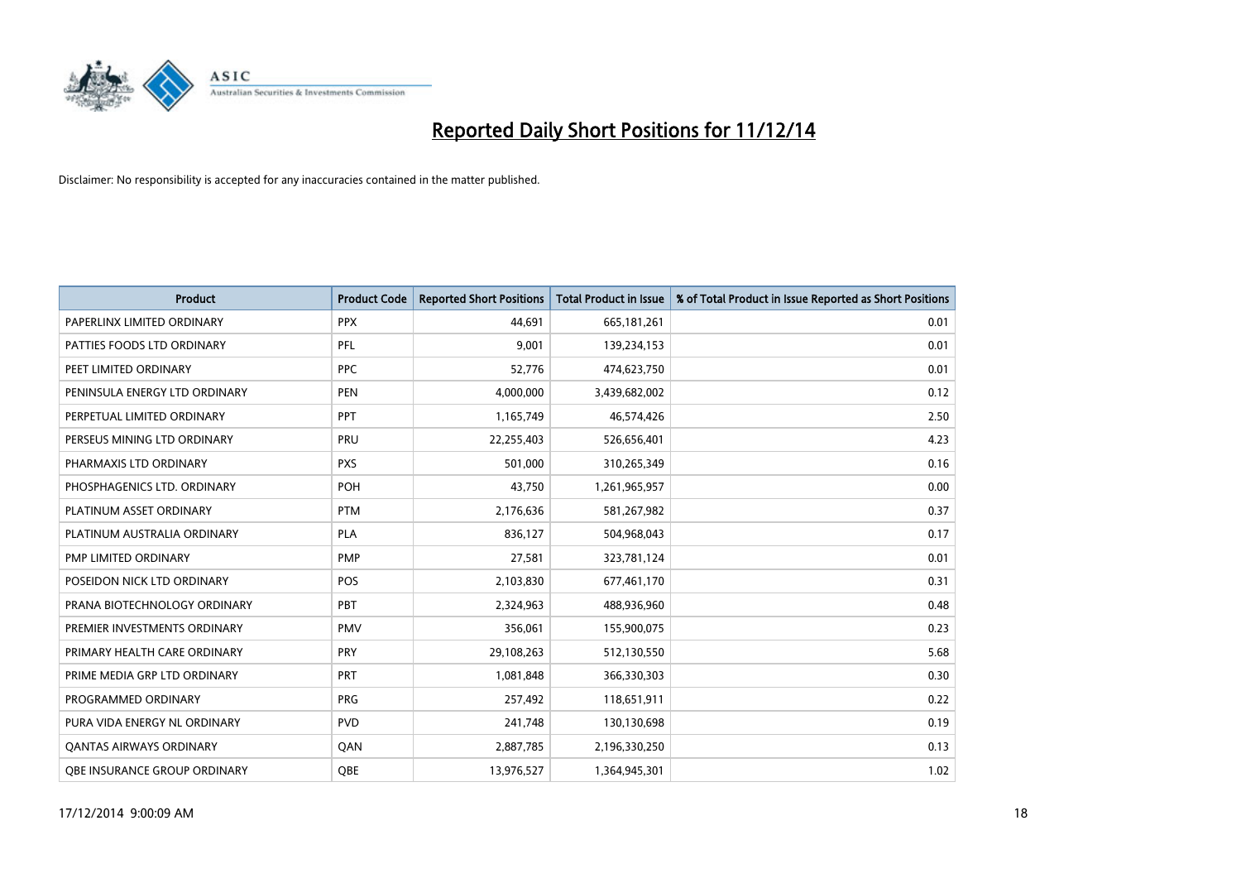

| <b>Product</b>                      | <b>Product Code</b> | <b>Reported Short Positions</b> | Total Product in Issue | % of Total Product in Issue Reported as Short Positions |
|-------------------------------------|---------------------|---------------------------------|------------------------|---------------------------------------------------------|
| PAPERLINX LIMITED ORDINARY          | <b>PPX</b>          | 44.691                          | 665, 181, 261          | 0.01                                                    |
| PATTIES FOODS LTD ORDINARY          | PFL                 | 9,001                           | 139,234,153            | 0.01                                                    |
| PEET LIMITED ORDINARY               | <b>PPC</b>          | 52,776                          | 474,623,750            | 0.01                                                    |
| PENINSULA ENERGY LTD ORDINARY       | <b>PEN</b>          | 4,000,000                       | 3,439,682,002          | 0.12                                                    |
| PERPETUAL LIMITED ORDINARY          | <b>PPT</b>          | 1,165,749                       | 46,574,426             | 2.50                                                    |
| PERSEUS MINING LTD ORDINARY         | PRU                 | 22,255,403                      | 526,656,401            | 4.23                                                    |
| PHARMAXIS LTD ORDINARY              | <b>PXS</b>          | 501,000                         | 310,265,349            | 0.16                                                    |
| PHOSPHAGENICS LTD. ORDINARY         | POH                 | 43.750                          | 1,261,965,957          | 0.00                                                    |
| PLATINUM ASSET ORDINARY             | <b>PTM</b>          | 2,176,636                       | 581,267,982            | 0.37                                                    |
| PLATINUM AUSTRALIA ORDINARY         | <b>PLA</b>          | 836,127                         | 504,968,043            | 0.17                                                    |
| PMP LIMITED ORDINARY                | <b>PMP</b>          | 27,581                          | 323,781,124            | 0.01                                                    |
| POSEIDON NICK LTD ORDINARY          | <b>POS</b>          | 2,103,830                       | 677,461,170            | 0.31                                                    |
| PRANA BIOTECHNOLOGY ORDINARY        | PBT                 | 2,324,963                       | 488,936,960            | 0.48                                                    |
| PREMIER INVESTMENTS ORDINARY        | <b>PMV</b>          | 356,061                         | 155,900,075            | 0.23                                                    |
| PRIMARY HEALTH CARE ORDINARY        | <b>PRY</b>          | 29,108,263                      | 512,130,550            | 5.68                                                    |
| PRIME MEDIA GRP LTD ORDINARY        | <b>PRT</b>          | 1,081,848                       | 366,330,303            | 0.30                                                    |
| PROGRAMMED ORDINARY                 | PRG                 | 257,492                         | 118,651,911            | 0.22                                                    |
| PURA VIDA ENERGY NL ORDINARY        | <b>PVD</b>          | 241,748                         | 130,130,698            | 0.19                                                    |
| <b>QANTAS AIRWAYS ORDINARY</b>      | QAN                 | 2,887,785                       | 2,196,330,250          | 0.13                                                    |
| <b>OBE INSURANCE GROUP ORDINARY</b> | OBE                 | 13,976,527                      | 1,364,945,301          | 1.02                                                    |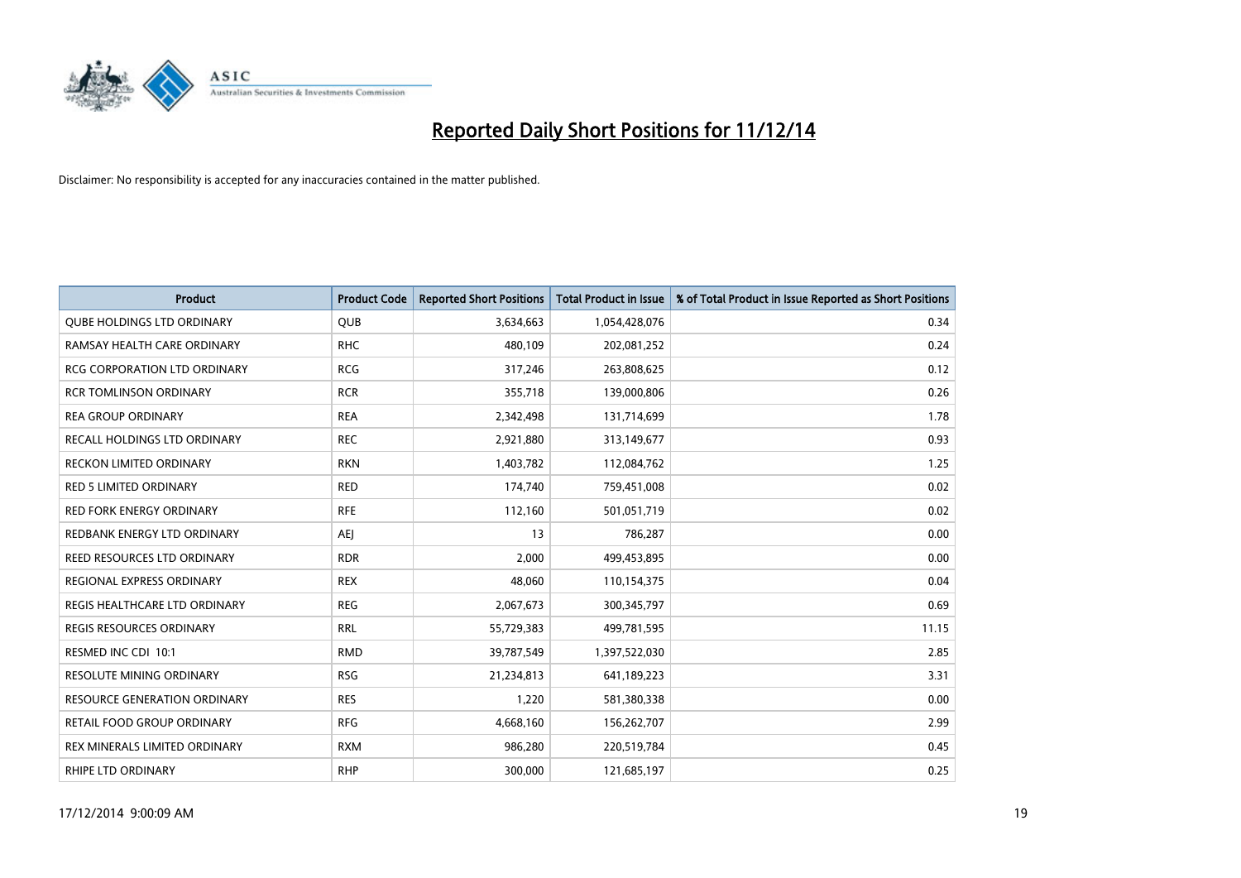

| <b>Product</b>                      | <b>Product Code</b> | <b>Reported Short Positions</b> | <b>Total Product in Issue</b> | % of Total Product in Issue Reported as Short Positions |
|-------------------------------------|---------------------|---------------------------------|-------------------------------|---------------------------------------------------------|
| <b>QUBE HOLDINGS LTD ORDINARY</b>   | <b>QUB</b>          | 3,634,663                       | 1,054,428,076                 | 0.34                                                    |
| RAMSAY HEALTH CARE ORDINARY         | <b>RHC</b>          | 480,109                         | 202,081,252                   | 0.24                                                    |
| <b>RCG CORPORATION LTD ORDINARY</b> | <b>RCG</b>          | 317,246                         | 263,808,625                   | 0.12                                                    |
| <b>RCR TOMLINSON ORDINARY</b>       | <b>RCR</b>          | 355,718                         | 139,000,806                   | 0.26                                                    |
| <b>REA GROUP ORDINARY</b>           | <b>REA</b>          | 2,342,498                       | 131,714,699                   | 1.78                                                    |
| RECALL HOLDINGS LTD ORDINARY        | <b>REC</b>          | 2,921,880                       | 313,149,677                   | 0.93                                                    |
| <b>RECKON LIMITED ORDINARY</b>      | <b>RKN</b>          | 1,403,782                       | 112,084,762                   | 1.25                                                    |
| RED 5 LIMITED ORDINARY              | <b>RED</b>          | 174,740                         | 759,451,008                   | 0.02                                                    |
| <b>RED FORK ENERGY ORDINARY</b>     | <b>RFE</b>          | 112,160                         | 501,051,719                   | 0.02                                                    |
| REDBANK ENERGY LTD ORDINARY         | AEJ                 | 13                              | 786,287                       | 0.00                                                    |
| REED RESOURCES LTD ORDINARY         | <b>RDR</b>          | 2,000                           | 499,453,895                   | 0.00                                                    |
| REGIONAL EXPRESS ORDINARY           | <b>REX</b>          | 48,060                          | 110,154,375                   | 0.04                                                    |
| REGIS HEALTHCARE LTD ORDINARY       | <b>REG</b>          | 2,067,673                       | 300, 345, 797                 | 0.69                                                    |
| <b>REGIS RESOURCES ORDINARY</b>     | <b>RRL</b>          | 55,729,383                      | 499,781,595                   | 11.15                                                   |
| RESMED INC CDI 10:1                 | <b>RMD</b>          | 39,787,549                      | 1,397,522,030                 | 2.85                                                    |
| RESOLUTE MINING ORDINARY            | <b>RSG</b>          | 21,234,813                      | 641,189,223                   | 3.31                                                    |
| RESOURCE GENERATION ORDINARY        | <b>RES</b>          | 1,220                           | 581,380,338                   | 0.00                                                    |
| RETAIL FOOD GROUP ORDINARY          | <b>RFG</b>          | 4,668,160                       | 156,262,707                   | 2.99                                                    |
| REX MINERALS LIMITED ORDINARY       | <b>RXM</b>          | 986,280                         | 220,519,784                   | 0.45                                                    |
| <b>RHIPE LTD ORDINARY</b>           | <b>RHP</b>          | 300,000                         | 121,685,197                   | 0.25                                                    |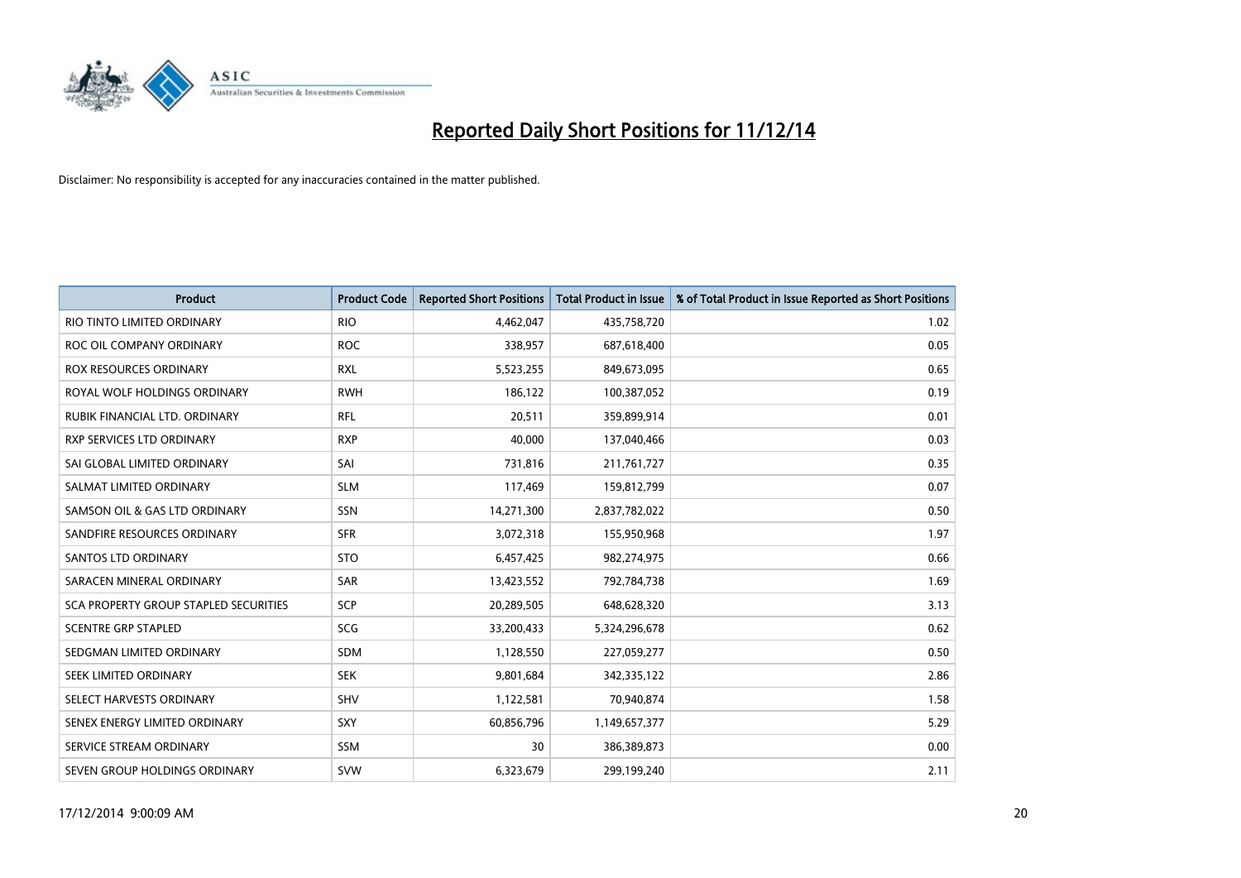

| <b>Product</b>                        | <b>Product Code</b> | <b>Reported Short Positions</b> | <b>Total Product in Issue</b> | % of Total Product in Issue Reported as Short Positions |
|---------------------------------------|---------------------|---------------------------------|-------------------------------|---------------------------------------------------------|
| RIO TINTO LIMITED ORDINARY            | <b>RIO</b>          | 4,462,047                       | 435,758,720                   | 1.02                                                    |
| ROC OIL COMPANY ORDINARY              | <b>ROC</b>          | 338,957                         | 687,618,400                   | 0.05                                                    |
| ROX RESOURCES ORDINARY                | <b>RXL</b>          | 5,523,255                       | 849,673,095                   | 0.65                                                    |
| ROYAL WOLF HOLDINGS ORDINARY          | <b>RWH</b>          | 186,122                         | 100,387,052                   | 0.19                                                    |
| RUBIK FINANCIAL LTD, ORDINARY         | <b>RFL</b>          | 20,511                          | 359,899,914                   | 0.01                                                    |
| <b>RXP SERVICES LTD ORDINARY</b>      | <b>RXP</b>          | 40,000                          | 137,040,466                   | 0.03                                                    |
| SAI GLOBAL LIMITED ORDINARY           | SAI                 | 731,816                         | 211,761,727                   | 0.35                                                    |
| SALMAT LIMITED ORDINARY               | <b>SLM</b>          | 117,469                         | 159,812,799                   | 0.07                                                    |
| SAMSON OIL & GAS LTD ORDINARY         | SSN                 | 14,271,300                      | 2,837,782,022                 | 0.50                                                    |
| SANDFIRE RESOURCES ORDINARY           | <b>SFR</b>          | 3,072,318                       | 155,950,968                   | 1.97                                                    |
| SANTOS LTD ORDINARY                   | <b>STO</b>          | 6,457,425                       | 982,274,975                   | 0.66                                                    |
| SARACEN MINERAL ORDINARY              | SAR                 | 13,423,552                      | 792,784,738                   | 1.69                                                    |
| SCA PROPERTY GROUP STAPLED SECURITIES | <b>SCP</b>          | 20,289,505                      | 648,628,320                   | 3.13                                                    |
| <b>SCENTRE GRP STAPLED</b>            | SCG                 | 33,200,433                      | 5,324,296,678                 | 0.62                                                    |
| SEDGMAN LIMITED ORDINARY              | <b>SDM</b>          | 1,128,550                       | 227,059,277                   | 0.50                                                    |
| SEEK LIMITED ORDINARY                 | <b>SEK</b>          | 9,801,684                       | 342,335,122                   | 2.86                                                    |
| SELECT HARVESTS ORDINARY              | SHV                 | 1,122,581                       | 70,940,874                    | 1.58                                                    |
| SENEX ENERGY LIMITED ORDINARY         | <b>SXY</b>          | 60,856,796                      | 1,149,657,377                 | 5.29                                                    |
| SERVICE STREAM ORDINARY               | <b>SSM</b>          | 30                              | 386,389,873                   | 0.00                                                    |
| SEVEN GROUP HOLDINGS ORDINARY         | <b>SVW</b>          | 6,323,679                       | 299,199,240                   | 2.11                                                    |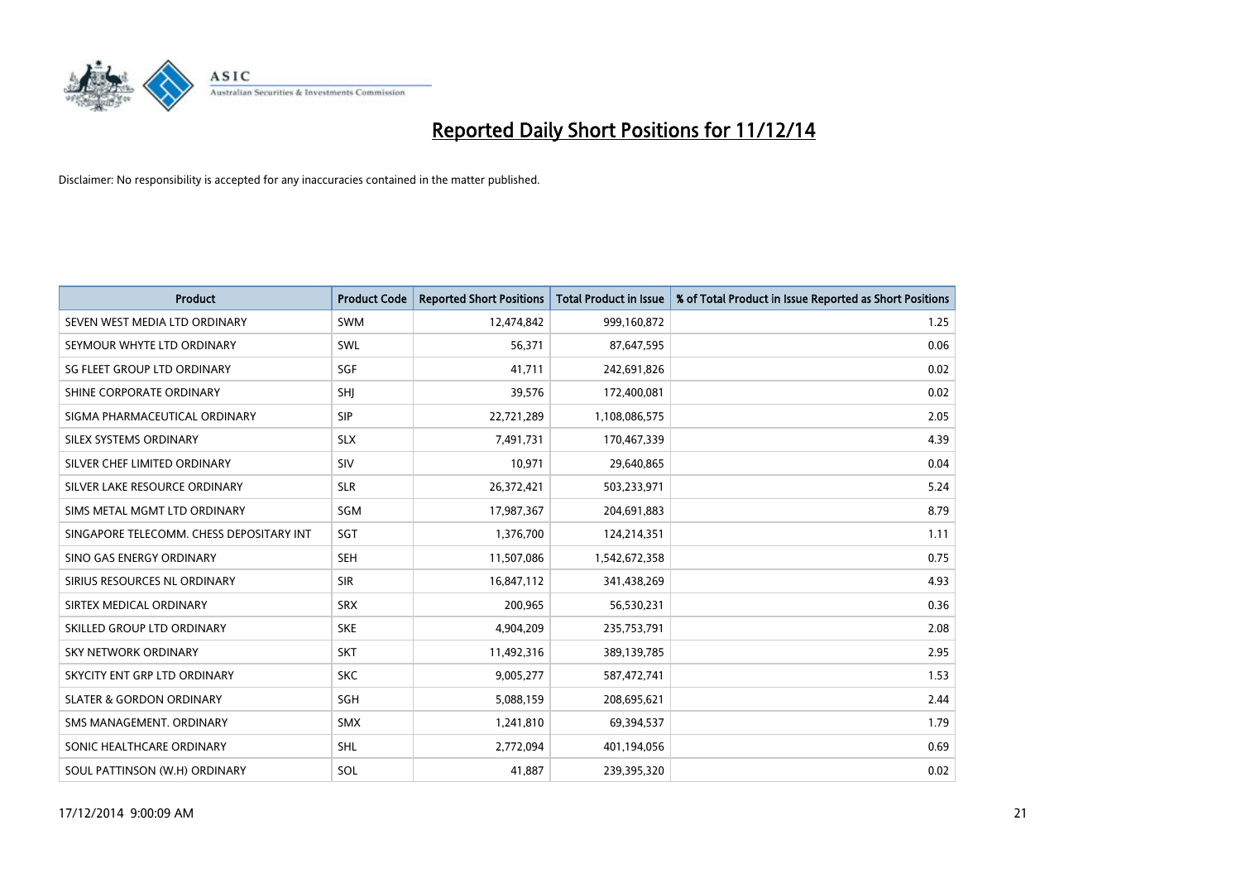

| <b>Product</b>                           | <b>Product Code</b> | <b>Reported Short Positions</b> | <b>Total Product in Issue</b> | % of Total Product in Issue Reported as Short Positions |
|------------------------------------------|---------------------|---------------------------------|-------------------------------|---------------------------------------------------------|
| SEVEN WEST MEDIA LTD ORDINARY            | <b>SWM</b>          | 12,474,842                      | 999,160,872                   | 1.25                                                    |
| SEYMOUR WHYTE LTD ORDINARY               | SWL                 | 56,371                          | 87,647,595                    | 0.06                                                    |
| SG FLEET GROUP LTD ORDINARY              | SGF                 | 41.711                          | 242,691,826                   | 0.02                                                    |
| SHINE CORPORATE ORDINARY                 | SHJ                 | 39,576                          | 172,400,081                   | 0.02                                                    |
| SIGMA PHARMACEUTICAL ORDINARY            | <b>SIP</b>          | 22,721,289                      | 1,108,086,575                 | 2.05                                                    |
| SILEX SYSTEMS ORDINARY                   | <b>SLX</b>          | 7,491,731                       | 170,467,339                   | 4.39                                                    |
| SILVER CHEF LIMITED ORDINARY             | <b>SIV</b>          | 10,971                          | 29,640,865                    | 0.04                                                    |
| SILVER LAKE RESOURCE ORDINARY            | <b>SLR</b>          | 26,372,421                      | 503,233,971                   | 5.24                                                    |
| SIMS METAL MGMT LTD ORDINARY             | SGM                 | 17,987,367                      | 204,691,883                   | 8.79                                                    |
| SINGAPORE TELECOMM. CHESS DEPOSITARY INT | SGT                 | 1,376,700                       | 124,214,351                   | 1.11                                                    |
| SINO GAS ENERGY ORDINARY                 | <b>SEH</b>          | 11,507,086                      | 1,542,672,358                 | 0.75                                                    |
| SIRIUS RESOURCES NL ORDINARY             | <b>SIR</b>          | 16,847,112                      | 341,438,269                   | 4.93                                                    |
| SIRTEX MEDICAL ORDINARY                  | <b>SRX</b>          | 200,965                         | 56,530,231                    | 0.36                                                    |
| SKILLED GROUP LTD ORDINARY               | <b>SKE</b>          | 4,904,209                       | 235,753,791                   | 2.08                                                    |
| <b>SKY NETWORK ORDINARY</b>              | <b>SKT</b>          | 11,492,316                      | 389,139,785                   | 2.95                                                    |
| SKYCITY ENT GRP LTD ORDINARY             | <b>SKC</b>          | 9,005,277                       | 587,472,741                   | 1.53                                                    |
| <b>SLATER &amp; GORDON ORDINARY</b>      | SGH                 | 5,088,159                       | 208,695,621                   | 2.44                                                    |
| SMS MANAGEMENT, ORDINARY                 | <b>SMX</b>          | 1,241,810                       | 69,394,537                    | 1.79                                                    |
| SONIC HEALTHCARE ORDINARY                | SHL                 | 2,772,094                       | 401,194,056                   | 0.69                                                    |
| SOUL PATTINSON (W.H) ORDINARY            | SOL                 | 41,887                          | 239,395,320                   | 0.02                                                    |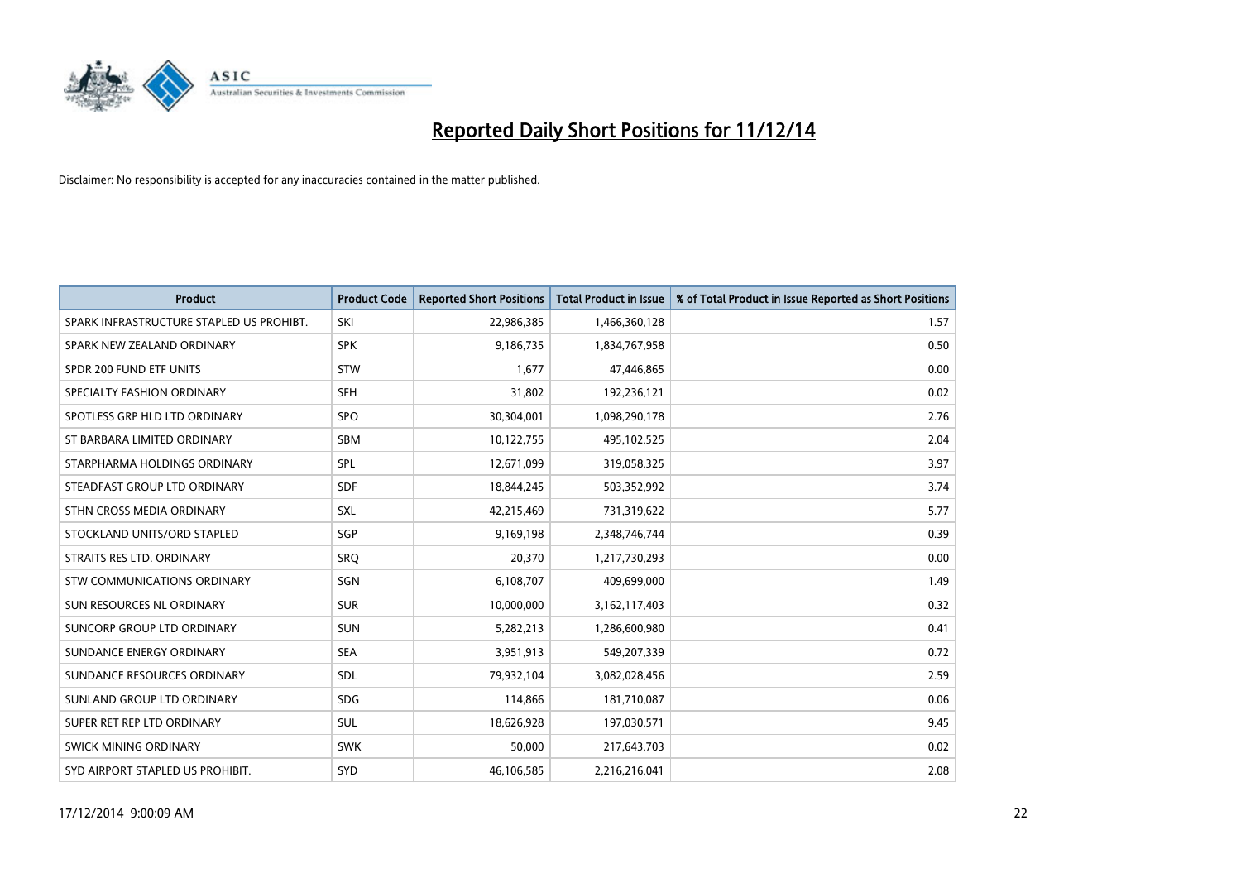

| <b>Product</b>                           | <b>Product Code</b> | <b>Reported Short Positions</b> | <b>Total Product in Issue</b> | % of Total Product in Issue Reported as Short Positions |
|------------------------------------------|---------------------|---------------------------------|-------------------------------|---------------------------------------------------------|
| SPARK INFRASTRUCTURE STAPLED US PROHIBT. | <b>SKI</b>          | 22,986,385                      | 1,466,360,128                 | 1.57                                                    |
| SPARK NEW ZEALAND ORDINARY               | <b>SPK</b>          | 9,186,735                       | 1,834,767,958                 | 0.50                                                    |
| SPDR 200 FUND ETF UNITS                  | <b>STW</b>          | 1,677                           | 47,446,865                    | 0.00                                                    |
| SPECIALTY FASHION ORDINARY               | <b>SFH</b>          | 31,802                          | 192,236,121                   | 0.02                                                    |
| SPOTLESS GRP HLD LTD ORDINARY            | <b>SPO</b>          | 30,304,001                      | 1,098,290,178                 | 2.76                                                    |
| ST BARBARA LIMITED ORDINARY              | <b>SBM</b>          | 10,122,755                      | 495,102,525                   | 2.04                                                    |
| STARPHARMA HOLDINGS ORDINARY             | <b>SPL</b>          | 12,671,099                      | 319,058,325                   | 3.97                                                    |
| STEADFAST GROUP LTD ORDINARY             | <b>SDF</b>          | 18,844,245                      | 503,352,992                   | 3.74                                                    |
| STHN CROSS MEDIA ORDINARY                | SXL                 | 42,215,469                      | 731,319,622                   | 5.77                                                    |
| STOCKLAND UNITS/ORD STAPLED              | SGP                 | 9,169,198                       | 2,348,746,744                 | 0.39                                                    |
| STRAITS RES LTD. ORDINARY                | <b>SRQ</b>          | 20,370                          | 1,217,730,293                 | 0.00                                                    |
| STW COMMUNICATIONS ORDINARY              | SGN                 | 6,108,707                       | 409,699,000                   | 1.49                                                    |
| SUN RESOURCES NL ORDINARY                | <b>SUR</b>          | 10,000,000                      | 3,162,117,403                 | 0.32                                                    |
| <b>SUNCORP GROUP LTD ORDINARY</b>        | <b>SUN</b>          | 5,282,213                       | 1,286,600,980                 | 0.41                                                    |
| SUNDANCE ENERGY ORDINARY                 | <b>SEA</b>          | 3,951,913                       | 549,207,339                   | 0.72                                                    |
| SUNDANCE RESOURCES ORDINARY              | SDL                 | 79,932,104                      | 3,082,028,456                 | 2.59                                                    |
| SUNLAND GROUP LTD ORDINARY               | <b>SDG</b>          | 114,866                         | 181,710,087                   | 0.06                                                    |
| SUPER RET REP LTD ORDINARY               | SUL                 | 18,626,928                      | 197,030,571                   | 9.45                                                    |
| SWICK MINING ORDINARY                    | <b>SWK</b>          | 50,000                          | 217,643,703                   | 0.02                                                    |
| SYD AIRPORT STAPLED US PROHIBIT.         | <b>SYD</b>          | 46,106,585                      | 2,216,216,041                 | 2.08                                                    |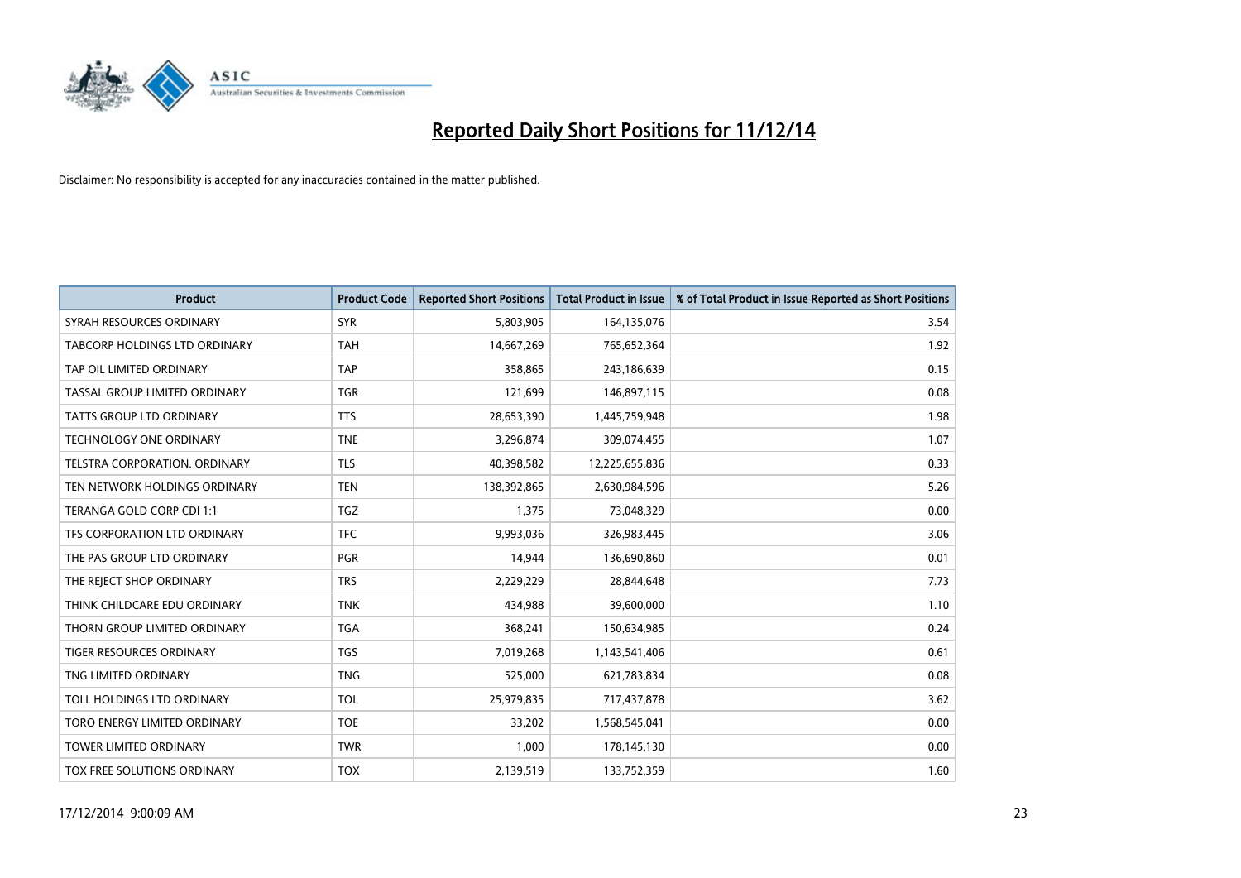

| <b>Product</b>                  | <b>Product Code</b> | <b>Reported Short Positions</b> | <b>Total Product in Issue</b> | % of Total Product in Issue Reported as Short Positions |
|---------------------------------|---------------------|---------------------------------|-------------------------------|---------------------------------------------------------|
| SYRAH RESOURCES ORDINARY        | <b>SYR</b>          | 5,803,905                       | 164,135,076                   | 3.54                                                    |
| TABCORP HOLDINGS LTD ORDINARY   | <b>TAH</b>          | 14,667,269                      | 765,652,364                   | 1.92                                                    |
| TAP OIL LIMITED ORDINARY        | <b>TAP</b>          | 358,865                         | 243,186,639                   | 0.15                                                    |
| TASSAL GROUP LIMITED ORDINARY   | <b>TGR</b>          | 121,699                         | 146,897,115                   | 0.08                                                    |
| <b>TATTS GROUP LTD ORDINARY</b> | <b>TTS</b>          | 28,653,390                      | 1,445,759,948                 | 1.98                                                    |
| TECHNOLOGY ONE ORDINARY         | <b>TNE</b>          | 3,296,874                       | 309,074,455                   | 1.07                                                    |
| TELSTRA CORPORATION, ORDINARY   | <b>TLS</b>          | 40,398,582                      | 12,225,655,836                | 0.33                                                    |
| TEN NETWORK HOLDINGS ORDINARY   | <b>TEN</b>          | 138,392,865                     | 2,630,984,596                 | 5.26                                                    |
| TERANGA GOLD CORP CDI 1:1       | <b>TGZ</b>          | 1,375                           | 73,048,329                    | 0.00                                                    |
| TFS CORPORATION LTD ORDINARY    | <b>TFC</b>          | 9,993,036                       | 326,983,445                   | 3.06                                                    |
| THE PAS GROUP LTD ORDINARY      | <b>PGR</b>          | 14,944                          | 136,690,860                   | 0.01                                                    |
| THE REJECT SHOP ORDINARY        | <b>TRS</b>          | 2,229,229                       | 28,844,648                    | 7.73                                                    |
| THINK CHILDCARE EDU ORDINARY    | <b>TNK</b>          | 434,988                         | 39,600,000                    | 1.10                                                    |
| THORN GROUP LIMITED ORDINARY    | <b>TGA</b>          | 368,241                         | 150,634,985                   | 0.24                                                    |
| <b>TIGER RESOURCES ORDINARY</b> | <b>TGS</b>          | 7,019,268                       | 1,143,541,406                 | 0.61                                                    |
| TNG LIMITED ORDINARY            | <b>TNG</b>          | 525,000                         | 621,783,834                   | 0.08                                                    |
| TOLL HOLDINGS LTD ORDINARY      | <b>TOL</b>          | 25,979,835                      | 717,437,878                   | 3.62                                                    |
| TORO ENERGY LIMITED ORDINARY    | <b>TOE</b>          | 33,202                          | 1,568,545,041                 | 0.00                                                    |
| <b>TOWER LIMITED ORDINARY</b>   | <b>TWR</b>          | 1,000                           | 178,145,130                   | 0.00                                                    |
| TOX FREE SOLUTIONS ORDINARY     | <b>TOX</b>          | 2,139,519                       | 133,752,359                   | 1.60                                                    |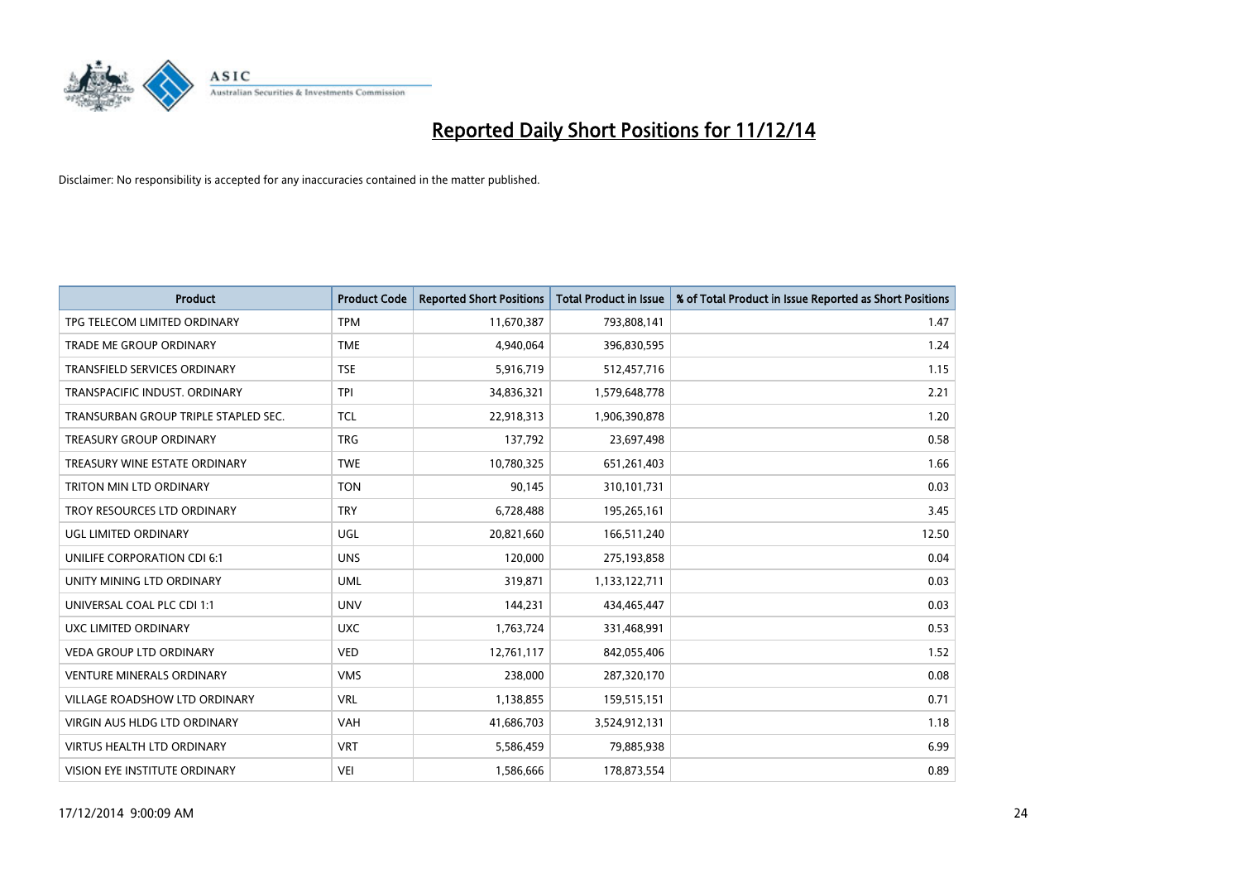

| <b>Product</b>                       | <b>Product Code</b> | <b>Reported Short Positions</b> | <b>Total Product in Issue</b> | % of Total Product in Issue Reported as Short Positions |
|--------------------------------------|---------------------|---------------------------------|-------------------------------|---------------------------------------------------------|
| TPG TELECOM LIMITED ORDINARY         | <b>TPM</b>          | 11,670,387                      | 793,808,141                   | 1.47                                                    |
| TRADE ME GROUP ORDINARY              | <b>TME</b>          | 4,940,064                       | 396,830,595                   | 1.24                                                    |
| <b>TRANSFIELD SERVICES ORDINARY</b>  | <b>TSE</b>          | 5,916,719                       | 512,457,716                   | 1.15                                                    |
| TRANSPACIFIC INDUST. ORDINARY        | <b>TPI</b>          | 34,836,321                      | 1,579,648,778                 | 2.21                                                    |
| TRANSURBAN GROUP TRIPLE STAPLED SEC. | <b>TCL</b>          | 22,918,313                      | 1,906,390,878                 | 1.20                                                    |
| <b>TREASURY GROUP ORDINARY</b>       | <b>TRG</b>          | 137,792                         | 23,697,498                    | 0.58                                                    |
| TREASURY WINE ESTATE ORDINARY        | <b>TWE</b>          | 10,780,325                      | 651,261,403                   | 1.66                                                    |
| TRITON MIN LTD ORDINARY              | <b>TON</b>          | 90,145                          | 310,101,731                   | 0.03                                                    |
| TROY RESOURCES LTD ORDINARY          | <b>TRY</b>          | 6,728,488                       | 195,265,161                   | 3.45                                                    |
| UGL LIMITED ORDINARY                 | UGL                 | 20,821,660                      | 166,511,240                   | 12.50                                                   |
| UNILIFE CORPORATION CDI 6:1          | <b>UNS</b>          | 120,000                         | 275,193,858                   | 0.04                                                    |
| UNITY MINING LTD ORDINARY            | <b>UML</b>          | 319,871                         | 1,133,122,711                 | 0.03                                                    |
| UNIVERSAL COAL PLC CDI 1:1           | <b>UNV</b>          | 144,231                         | 434,465,447                   | 0.03                                                    |
| <b>UXC LIMITED ORDINARY</b>          | <b>UXC</b>          | 1,763,724                       | 331,468,991                   | 0.53                                                    |
| <b>VEDA GROUP LTD ORDINARY</b>       | <b>VED</b>          | 12,761,117                      | 842,055,406                   | 1.52                                                    |
| VENTURE MINERALS ORDINARY            | <b>VMS</b>          | 238,000                         | 287,320,170                   | 0.08                                                    |
| VILLAGE ROADSHOW LTD ORDINARY        | <b>VRL</b>          | 1,138,855                       | 159,515,151                   | 0.71                                                    |
| <b>VIRGIN AUS HLDG LTD ORDINARY</b>  | <b>VAH</b>          | 41,686,703                      | 3,524,912,131                 | 1.18                                                    |
| <b>VIRTUS HEALTH LTD ORDINARY</b>    | <b>VRT</b>          | 5,586,459                       | 79,885,938                    | 6.99                                                    |
| VISION EYE INSTITUTE ORDINARY        | <b>VEI</b>          | 1,586,666                       | 178,873,554                   | 0.89                                                    |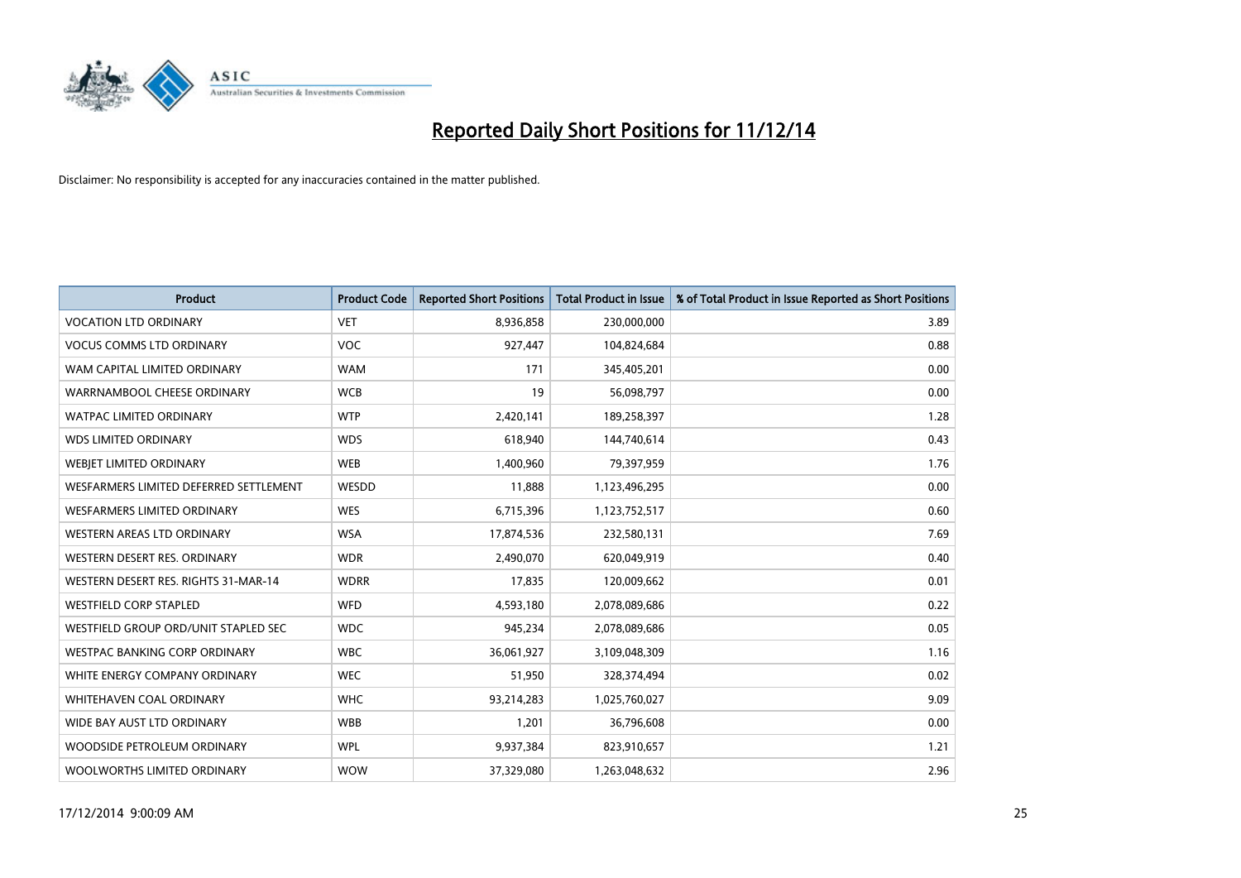

| <b>Product</b>                         | <b>Product Code</b> | <b>Reported Short Positions</b> | <b>Total Product in Issue</b> | % of Total Product in Issue Reported as Short Positions |
|----------------------------------------|---------------------|---------------------------------|-------------------------------|---------------------------------------------------------|
| <b>VOCATION LTD ORDINARY</b>           | <b>VET</b>          | 8,936,858                       | 230,000,000                   | 3.89                                                    |
| <b>VOCUS COMMS LTD ORDINARY</b>        | <b>VOC</b>          | 927,447                         | 104,824,684                   | 0.88                                                    |
| WAM CAPITAL LIMITED ORDINARY           | <b>WAM</b>          | 171                             | 345,405,201                   | 0.00                                                    |
| WARRNAMBOOL CHEESE ORDINARY            | <b>WCB</b>          | 19                              | 56,098,797                    | 0.00                                                    |
| <b>WATPAC LIMITED ORDINARY</b>         | <b>WTP</b>          | 2,420,141                       | 189,258,397                   | 1.28                                                    |
| <b>WDS LIMITED ORDINARY</b>            | <b>WDS</b>          | 618,940                         | 144,740,614                   | 0.43                                                    |
| WEBJET LIMITED ORDINARY                | <b>WEB</b>          | 1,400,960                       | 79,397,959                    | 1.76                                                    |
| WESFARMERS LIMITED DEFERRED SETTLEMENT | WESDD               | 11,888                          | 1,123,496,295                 | 0.00                                                    |
| <b>WESFARMERS LIMITED ORDINARY</b>     | <b>WES</b>          | 6,715,396                       | 1,123,752,517                 | 0.60                                                    |
| WESTERN AREAS LTD ORDINARY             | <b>WSA</b>          | 17,874,536                      | 232,580,131                   | 7.69                                                    |
| WESTERN DESERT RES. ORDINARY           | <b>WDR</b>          | 2,490,070                       | 620,049,919                   | 0.40                                                    |
| WESTERN DESERT RES. RIGHTS 31-MAR-14   | <b>WDRR</b>         | 17,835                          | 120,009,662                   | 0.01                                                    |
| <b>WESTFIELD CORP STAPLED</b>          | <b>WFD</b>          | 4,593,180                       | 2,078,089,686                 | 0.22                                                    |
| WESTFIELD GROUP ORD/UNIT STAPLED SEC   | <b>WDC</b>          | 945,234                         | 2,078,089,686                 | 0.05                                                    |
| <b>WESTPAC BANKING CORP ORDINARY</b>   | <b>WBC</b>          | 36,061,927                      | 3,109,048,309                 | 1.16                                                    |
| WHITE ENERGY COMPANY ORDINARY          | <b>WEC</b>          | 51,950                          | 328,374,494                   | 0.02                                                    |
| WHITEHAVEN COAL ORDINARY               | <b>WHC</b>          | 93,214,283                      | 1,025,760,027                 | 9.09                                                    |
| WIDE BAY AUST LTD ORDINARY             | <b>WBB</b>          | 1,201                           | 36,796,608                    | 0.00                                                    |
| WOODSIDE PETROLEUM ORDINARY            | <b>WPL</b>          | 9,937,384                       | 823,910,657                   | 1.21                                                    |
| WOOLWORTHS LIMITED ORDINARY            | <b>WOW</b>          | 37,329,080                      | 1,263,048,632                 | 2.96                                                    |